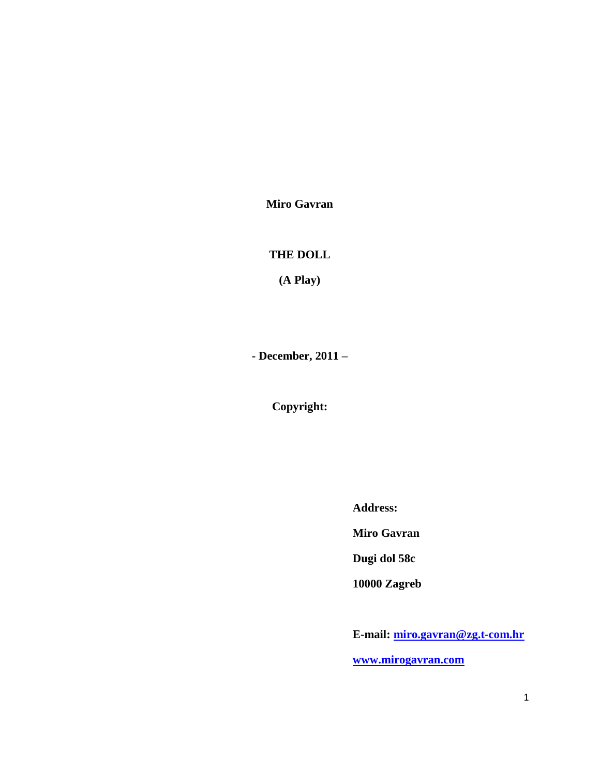**Miro Gavran**

# **THE DOLL**

**(A Play)**

**- December, 2011 –**

**Copyright:**

**Address:** 

**Miro Gavran**

**Dugi dol 58c**

**10000 Zagreb**

**E-mail: [miro.gavran@zg.t-com.hr](mailto:miro.gavran@zg.t-com.hr) [www.mirogavran.com](http://www.mirogavran.com/)**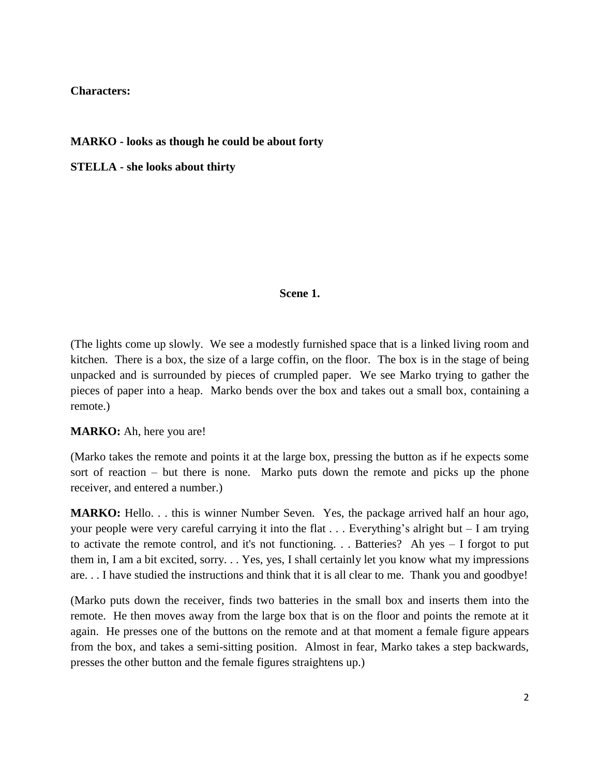# **Characters:**

# **MARKO - looks as though he could be about forty**

**STELLA - she looks about thirty**

### **Scene 1.**

(The lights come up slowly. We see a modestly furnished space that is a linked living room and kitchen. There is a box, the size of a large coffin, on the floor. The box is in the stage of being unpacked and is surrounded by pieces of crumpled paper. We see Marko trying to gather the pieces of paper into a heap. Marko bends over the box and takes out a small box, containing a remote.)

**MARKO:** Ah, here you are!

(Marko takes the remote and points it at the large box, pressing the button as if he expects some sort of reaction – but there is none. Marko puts down the remote and picks up the phone receiver, and entered a number.)

**MARKO:** Hello. . . this is winner Number Seven. Yes, the package arrived half an hour ago, your people were very careful carrying it into the flat . . . Everything's alright but – I am trying to activate the remote control, and it's not functioning. . . Batteries? Ah yes – I forgot to put them in, I am a bit excited, sorry. . . Yes, yes, I shall certainly let you know what my impressions are. . . I have studied the instructions and think that it is all clear to me. Thank you and goodbye!

(Marko puts down the receiver, finds two batteries in the small box and inserts them into the remote. He then moves away from the large box that is on the floor and points the remote at it again. He presses one of the buttons on the remote and at that moment a female figure appears from the box, and takes a semi-sitting position. Almost in fear, Marko takes a step backwards, presses the other button and the female figures straightens up.)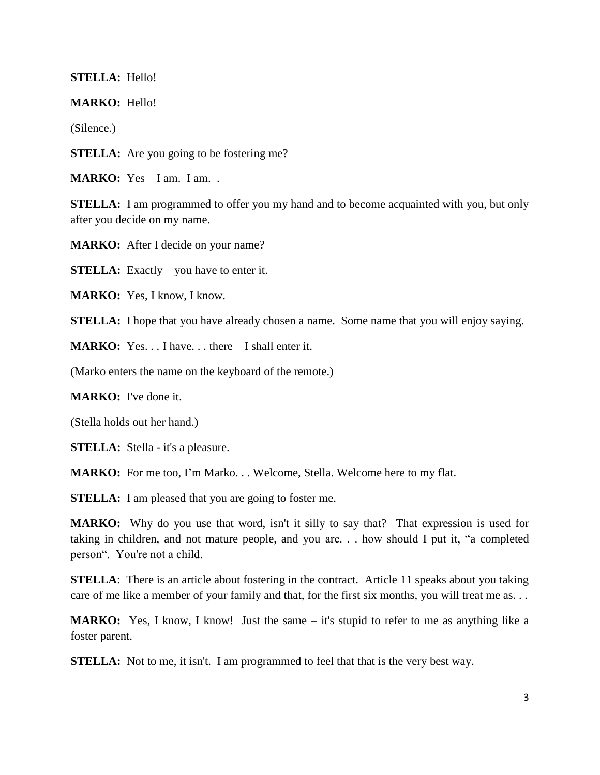### **STELLA:** Hello!

**MARKO:** Hello!

(Silence.)

**STELLA:** Are you going to be fostering me?

**MARKO:** Yes – I am. I am...

**STELLA:** I am programmed to offer you my hand and to become acquainted with you, but only after you decide on my name.

**MARKO:** After I decide on your name?

**STELLA:** Exactly – you have to enter it.

**MARKO:** Yes, I know, I know.

**STELLA:** I hope that you have already chosen a name. Some name that you will enjoy saying.

**MARKO:** Yes. . . I have. . . there – I shall enter it.

(Marko enters the name on the keyboard of the remote.)

**MARKO:** I've done it.

(Stella holds out her hand.)

**STELLA:** Stella - it's a pleasure.

**MARKO:** For me too, I'm Marko. . . Welcome, Stella. Welcome here to my flat.

**STELLA:** I am pleased that you are going to foster me.

**MARKO:** Why do you use that word, isn't it silly to say that? That expression is used for taking in children, and not mature people, and you are. . . how should I put it, "a completed person". You're not a child.

**STELLA**: There is an article about fostering in the contract. Article 11 speaks about you taking care of me like a member of your family and that, for the first six months, you will treat me as. . .

**MARKO:** Yes, I know, I know! Just the same – it's stupid to refer to me as anything like a foster parent.

**STELLA:** Not to me, it isn't. I am programmed to feel that that is the very best way.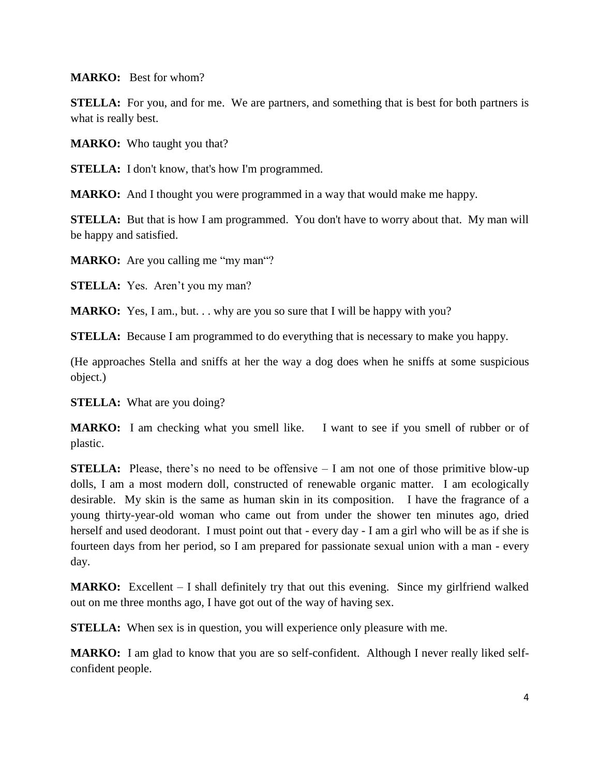**MARKO:** Best for whom?

**STELLA:** For you, and for me. We are partners, and something that is best for both partners is what is really best.

**MARKO:** Who taught you that?

**STELLA:** I don't know, that's how I'm programmed.

**MARKO:** And I thought you were programmed in a way that would make me happy.

**STELLA:** But that is how I am programmed. You don't have to worry about that. My man will be happy and satisfied.

**MARKO:** Are you calling me "my man"?

**STELLA:** Yes. Aren't you my man?

**MARKO:** Yes, I am., but. . . why are you so sure that I will be happy with you?

**STELLA:** Because I am programmed to do everything that is necessary to make you happy.

(He approaches Stella and sniffs at her the way a dog does when he sniffs at some suspicious object.)

**STELLA:** What are you doing?

**MARKO:** I am checking what you smell like. I want to see if you smell of rubber or of plastic.

**STELLA:** Please, there's no need to be offensive – I am not one of those primitive blow-up dolls, I am a most modern doll, constructed of renewable organic matter. I am ecologically desirable. My skin is the same as human skin in its composition. I have the fragrance of a young thirty-year-old woman who came out from under the shower ten minutes ago, dried herself and used deodorant. I must point out that - every day - I am a girl who will be as if she is fourteen days from her period, so I am prepared for passionate sexual union with a man - every day.

**MARKO:** Excellent – I shall definitely try that out this evening. Since my girlfriend walked out on me three months ago, I have got out of the way of having sex.

**STELLA:** When sex is in question, you will experience only pleasure with me.

**MARKO:** I am glad to know that you are so self-confident. Although I never really liked selfconfident people.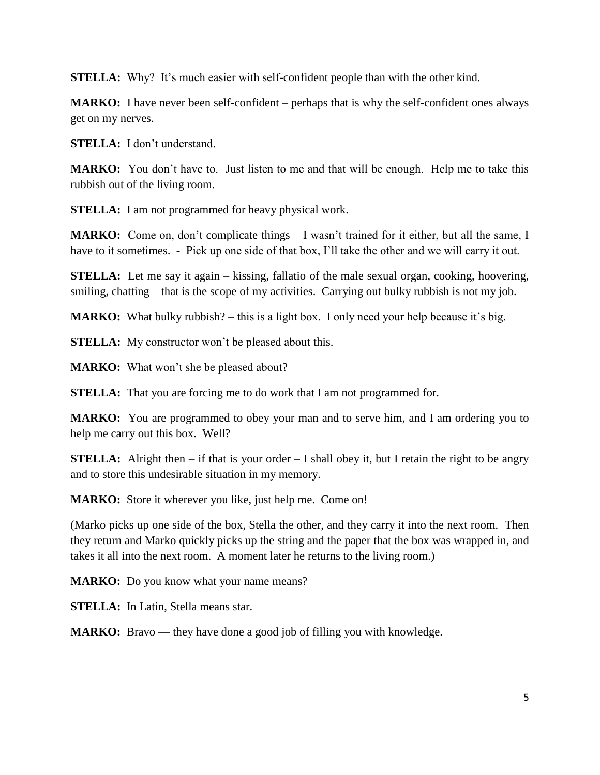**STELLA:** Why? It's much easier with self-confident people than with the other kind.

**MARKO:** I have never been self-confident – perhaps that is why the self-confident ones always get on my nerves.

**STELLA:** I don't understand.

**MARKO:** You don't have to. Just listen to me and that will be enough. Help me to take this rubbish out of the living room.

**STELLA:** I am not programmed for heavy physical work.

**MARKO:** Come on, don't complicate things – I wasn't trained for it either, but all the same, I have to it sometimes. - Pick up one side of that box, I'll take the other and we will carry it out.

**STELLA:** Let me say it again – kissing, fallatio of the male sexual organ, cooking, hoovering, smiling, chatting – that is the scope of my activities. Carrying out bulky rubbish is not my job.

**MARKO:** What bulky rubbish? – this is a light box. I only need your help because it's big.

**STELLA:** My constructor won't be pleased about this.

**MARKO:** What won't she be pleased about?

**STELLA:** That you are forcing me to do work that I am not programmed for.

**MARKO:** You are programmed to obey your man and to serve him, and I am ordering you to help me carry out this box. Well?

**STELLA:** Alright then  $-$  if that is your order  $-$  I shall obey it, but I retain the right to be angry and to store this undesirable situation in my memory.

**MARKO:** Store it wherever you like, just help me. Come on!

(Marko picks up one side of the box, Stella the other, and they carry it into the next room. Then they return and Marko quickly picks up the string and the paper that the box was wrapped in, and takes it all into the next room. A moment later he returns to the living room.)

**MARKO:** Do you know what your name means?

**STELLA:** In Latin, Stella means star.

**MARKO:** Bravo — they have done a good job of filling you with knowledge.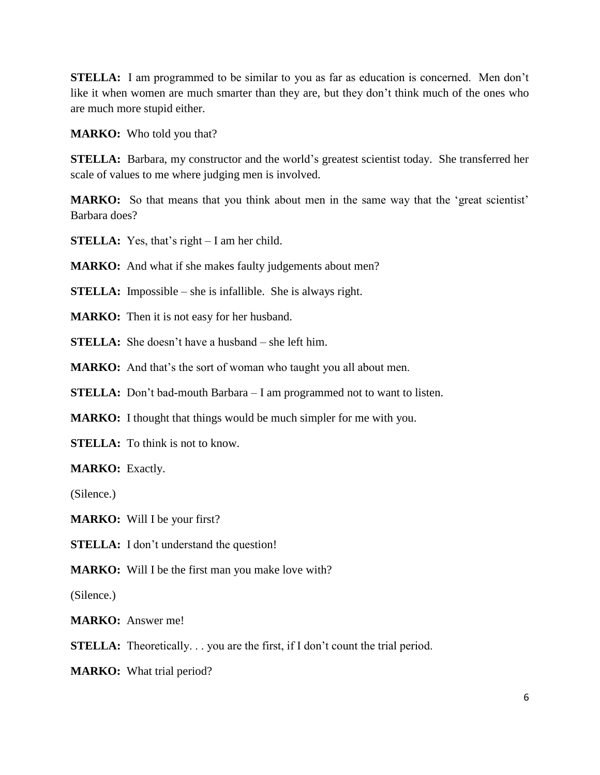**STELLA:** I am programmed to be similar to you as far as education is concerned. Men don't like it when women are much smarter than they are, but they don't think much of the ones who are much more stupid either.

**MARKO:** Who told you that?

**STELLA:** Barbara, my constructor and the world's greatest scientist today. She transferred her scale of values to me where judging men is involved.

**MARKO:** So that means that you think about men in the same way that the 'great scientist' Barbara does?

**STELLA:** Yes, that's right – I am her child.

**MARKO:** And what if she makes faulty judgements about men?

**STELLA:** Impossible – she is infallible. She is always right.

**MARKO:** Then it is not easy for her husband.

**STELLA:** She doesn't have a husband – she left him.

**MARKO:** And that's the sort of woman who taught you all about men.

**STELLA:** Don't bad-mouth Barbara – I am programmed not to want to listen.

**MARKO:** I thought that things would be much simpler for me with you.

**STELLA:** To think is not to know.

**MARKO:** Exactly.

(Silence.)

**MARKO:** Will I be your first?

**STELLA:** I don't understand the question!

**MARKO:** Will I be the first man you make love with?

(Silence.)

**MARKO:** Answer me!

**STELLA:** Theoretically... you are the first, if I don't count the trial period.

**MARKO:** What trial period?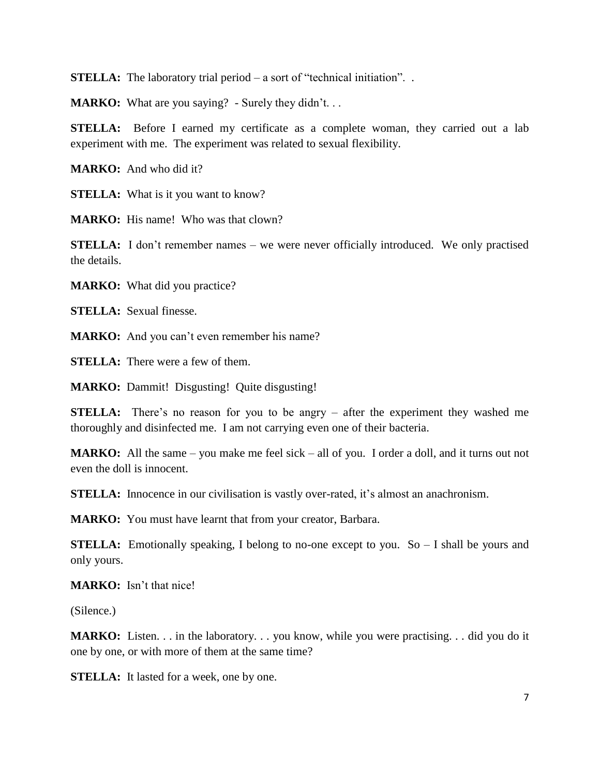**STELLA:** The laboratory trial period – a sort of "technical initiation"...

**MARKO:** What are you saying? - Surely they didn't...

**STELLA:** Before I earned my certificate as a complete woman, they carried out a lab experiment with me. The experiment was related to sexual flexibility.

**MARKO:** And who did it?

**STELLA:** What is it you want to know?

**MARKO:** His name! Who was that clown?

**STELLA:** I don't remember names – we were never officially introduced. We only practised the details.

**MARKO:** What did you practice?

**STELLA:** Sexual finesse.

**MARKO:** And you can't even remember his name?

**STELLA:** There were a few of them.

**MARKO:** Dammit! Disgusting! Quite disgusting!

**STELLA:** There's no reason for you to be angry – after the experiment they washed me thoroughly and disinfected me. I am not carrying even one of their bacteria.

**MARKO:** All the same – you make me feel sick – all of you. I order a doll, and it turns out not even the doll is innocent.

**STELLA:** Innocence in our civilisation is vastly over-rated, it's almost an anachronism.

**MARKO:** You must have learnt that from your creator, Barbara.

**STELLA:** Emotionally speaking, I belong to no-one except to you. So – I shall be yours and only yours.

**MARKO:** Isn't that nice!

(Silence.)

**MARKO:** Listen. . . in the laboratory. . . you know, while you were practising. . . did you do it one by one, or with more of them at the same time?

**STELLA:** It lasted for a week, one by one.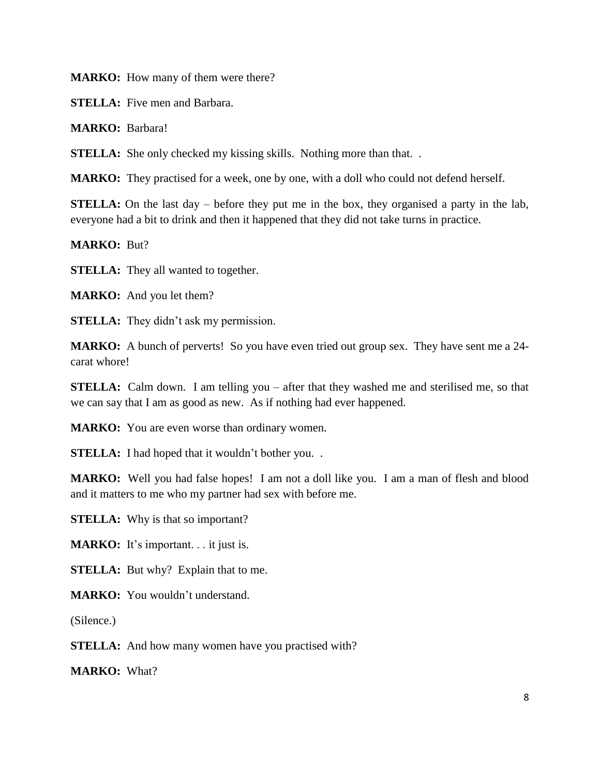**MARKO:** How many of them were there?

**STELLA:** Five men and Barbara.

**MARKO:** Barbara!

**STELLA:** She only checked my kissing skills. Nothing more than that...

**MARKO:** They practised for a week, one by one, with a doll who could not defend herself.

**STELLA:** On the last day – before they put me in the box, they organised a party in the lab, everyone had a bit to drink and then it happened that they did not take turns in practice.

**MARKO:** But?

**STELLA:** They all wanted to together.

**MARKO:** And you let them?

**STELLA:** They didn't ask my permission.

**MARKO:** A bunch of perverts! So you have even tried out group sex. They have sent me a 24 carat whore!

**STELLA:** Calm down. I am telling you – after that they washed me and sterilised me, so that we can say that I am as good as new. As if nothing had ever happened.

**MARKO:** You are even worse than ordinary women.

**STELLA:** I had hoped that it wouldn't bother you...

**MARKO:** Well you had false hopes! I am not a doll like you. I am a man of flesh and blood and it matters to me who my partner had sex with before me.

**STELLA:** Why is that so important?

**MARKO:** It's important. . . it just is.

**STELLA:** But why? Explain that to me.

**MARKO:** You wouldn't understand.

(Silence.)

**STELLA:** And how many women have you practised with?

**MARKO:** What?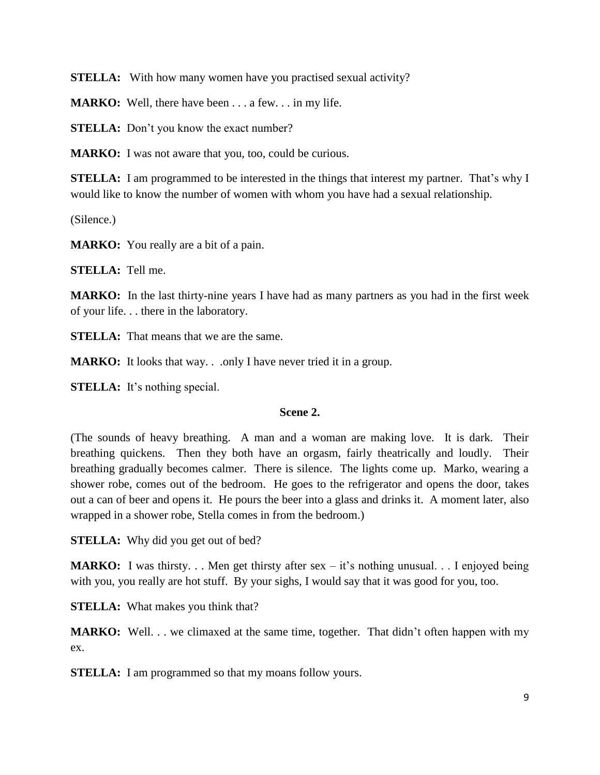**STELLA:** With how many women have you practised sexual activity?

**MARKO:** Well, there have been . . . a few. . . in my life.

**STELLA:** Don't you know the exact number?

**MARKO:** I was not aware that you, too, could be curious.

**STELLA:** I am programmed to be interested in the things that interest my partner. That's why I would like to know the number of women with whom you have had a sexual relationship.

(Silence.)

**MARKO:** You really are a bit of a pain.

**STELLA:** Tell me.

**MARKO:** In the last thirty-nine years I have had as many partners as you had in the first week of your life. . . there in the laboratory.

**STELLA:** That means that we are the same.

**MARKO:** It looks that way. . .only I have never tried it in a group.

**STELLA:** It's nothing special.

### **Scene 2.**

(The sounds of heavy breathing. A man and a woman are making love. It is dark. Their breathing quickens. Then they both have an orgasm, fairly theatrically and loudly. Their breathing gradually becomes calmer. There is silence. The lights come up. Marko, wearing a shower robe, comes out of the bedroom. He goes to the refrigerator and opens the door, takes out a can of beer and opens it. He pours the beer into a glass and drinks it. A moment later, also wrapped in a shower robe, Stella comes in from the bedroom.)

**STELLA:** Why did you get out of bed?

**MARKO:** I was thirsty... Men get thirsty after sex – it's nothing unusual... I enjoyed being with you, you really are hot stuff. By your sighs, I would say that it was good for you, too.

**STELLA:** What makes you think that?

**MARKO:** Well. . . we climaxed at the same time, together. That didn't often happen with my ex.

**STELLA:** I am programmed so that my moans follow yours.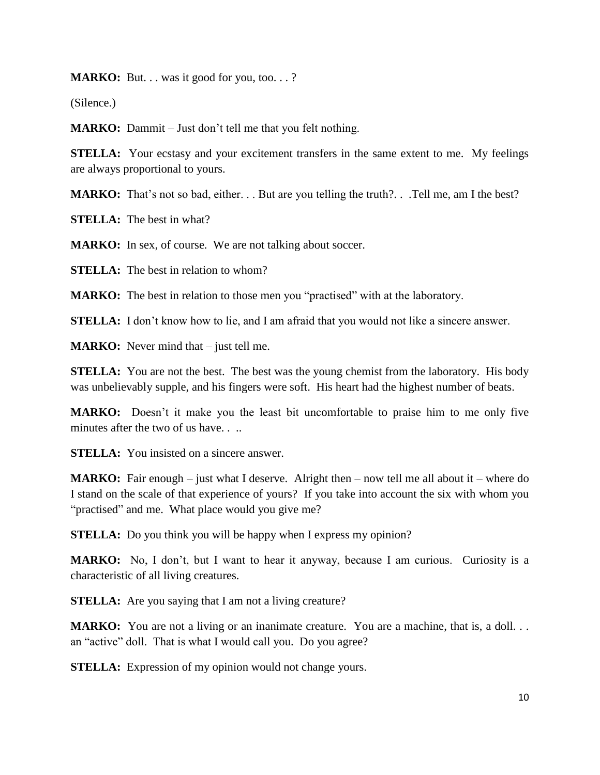**MARKO:** But. . . was it good for you, too. . . ?

(Silence.)

**MARKO:** Dammit – Just don't tell me that you felt nothing.

**STELLA:** Your ecstasy and your excitement transfers in the same extent to me. My feelings are always proportional to yours.

**MARKO:** That's not so bad, either. . . But are you telling the truth?. . . Tell me, am I the best?

**STELLA:** The best in what?

**MARKO:** In sex, of course. We are not talking about soccer.

**STELLA:** The best in relation to whom?

**MARKO:** The best in relation to those men you "practised" with at the laboratory.

**STELLA:** I don't know how to lie, and I am afraid that you would not like a sincere answer.

**MARKO:** Never mind that – just tell me.

**STELLA:** You are not the best. The best was the young chemist from the laboratory. His body was unbelievably supple, and his fingers were soft. His heart had the highest number of beats.

**MARKO:** Doesn't it make you the least bit uncomfortable to praise him to me only five minutes after the two of us have. . ..

**STELLA:** You insisted on a sincere answer.

**MARKO:** Fair enough – just what I deserve. Alright then – now tell me all about it – where do I stand on the scale of that experience of yours? If you take into account the six with whom you "practised" and me. What place would you give me?

**STELLA:** Do you think you will be happy when I express my opinion?

**MARKO:** No, I don't, but I want to hear it anyway, because I am curious. Curiosity is a characteristic of all living creatures.

**STELLA:** Are you saying that I am not a living creature?

**MARKO:** You are not a living or an inanimate creature. You are a machine, that is, a doll... an "active" doll. That is what I would call you. Do you agree?

**STELLA:** Expression of my opinion would not change yours.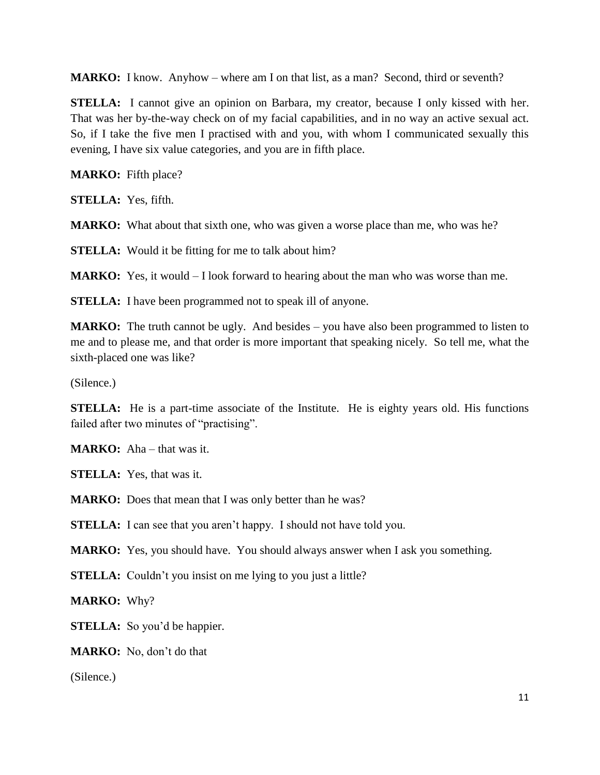**MARKO:** I know. Anyhow – where am I on that list, as a man? Second, third or seventh?

**STELLA:** I cannot give an opinion on Barbara, my creator, because I only kissed with her. That was her by-the-way check on of my facial capabilities, and in no way an active sexual act. So, if I take the five men I practised with and you, with whom I communicated sexually this evening, I have six value categories, and you are in fifth place.

**MARKO:** Fifth place?

**STELLA:** Yes, fifth.

**MARKO:** What about that sixth one, who was given a worse place than me, who was he?

**STELLA:** Would it be fitting for me to talk about him?

**MARKO:** Yes, it would – I look forward to hearing about the man who was worse than me.

**STELLA:** I have been programmed not to speak ill of anyone.

**MARKO:** The truth cannot be ugly. And besides – you have also been programmed to listen to me and to please me, and that order is more important that speaking nicely. So tell me, what the sixth-placed one was like?

(Silence.)

**STELLA:** He is a part-time associate of the Institute. He is eighty years old. His functions failed after two minutes of "practising".

**MARKO:** Aha – that was it.

**STELLA:** Yes, that was it.

**MARKO:** Does that mean that I was only better than he was?

**STELLA:** I can see that you aren't happy. I should not have told you.

**MARKO:** Yes, you should have. You should always answer when I ask you something.

**STELLA:** Couldn't you insist on me lying to you just a little?

**MARKO:** Why?

**STELLA:** So you'd be happier.

**MARKO:** No, don't do that

(Silence.)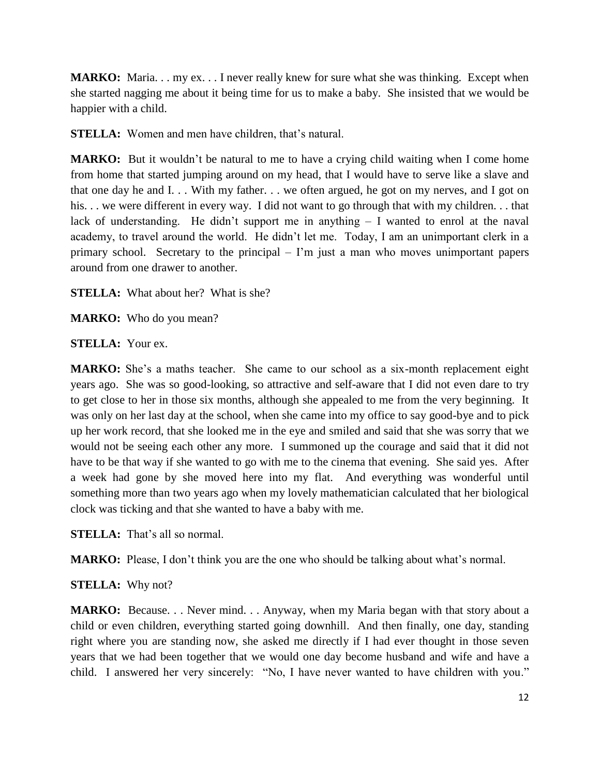**MARKO:** Maria. . . my ex. . . I never really knew for sure what she was thinking. Except when she started nagging me about it being time for us to make a baby. She insisted that we would be happier with a child.

**STELLA:** Women and men have children, that's natural.

**MARKO:** But it wouldn't be natural to me to have a crying child waiting when I come home from home that started jumping around on my head, that I would have to serve like a slave and that one day he and I. . . With my father. . . we often argued, he got on my nerves, and I got on his. . . we were different in every way. I did not want to go through that with my children. . . that lack of understanding. He didn't support me in anything  $-$  I wanted to enrol at the naval academy, to travel around the world. He didn't let me. Today, I am an unimportant clerk in a primary school. Secretary to the principal – I'm just a man who moves unimportant papers around from one drawer to another.

**STELLA:** What about her? What is she?

**MARKO:** Who do you mean?

**STELLA:** Your ex.

**MARKO:** She's a maths teacher. She came to our school as a six-month replacement eight years ago. She was so good-looking, so attractive and self-aware that I did not even dare to try to get close to her in those six months, although she appealed to me from the very beginning. It was only on her last day at the school, when she came into my office to say good-bye and to pick up her work record, that she looked me in the eye and smiled and said that she was sorry that we would not be seeing each other any more. I summoned up the courage and said that it did not have to be that way if she wanted to go with me to the cinema that evening. She said yes. After a week had gone by she moved here into my flat. And everything was wonderful until something more than two years ago when my lovely mathematician calculated that her biological clock was ticking and that she wanted to have a baby with me.

**STELLA:** That's all so normal.

**MARKO:** Please, I don't think you are the one who should be talking about what's normal.

# **STELLA:** Why not?

**MARKO:** Because... Never mind... Anyway, when my Maria began with that story about a child or even children, everything started going downhill. And then finally, one day, standing right where you are standing now, she asked me directly if I had ever thought in those seven years that we had been together that we would one day become husband and wife and have a child. I answered her very sincerely: "No, I have never wanted to have children with you."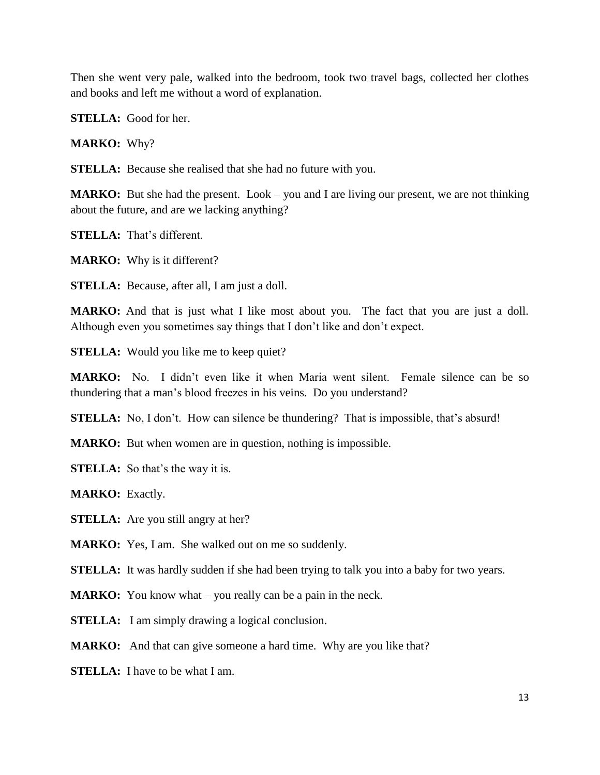Then she went very pale, walked into the bedroom, took two travel bags, collected her clothes and books and left me without a word of explanation.

**STELLA:** Good for her.

**MARKO:** Why?

**STELLA:** Because she realised that she had no future with you.

**MARKO:** But she had the present. Look – you and I are living our present, we are not thinking about the future, and are we lacking anything?

**STELLA:** That's different.

**MARKO:** Why is it different?

**STELLA:** Because, after all, I am just a doll.

**MARKO:** And that is just what I like most about you. The fact that you are just a doll. Although even you sometimes say things that I don't like and don't expect.

**STELLA:** Would you like me to keep quiet?

**MARKO:** No. I didn't even like it when Maria went silent. Female silence can be so thundering that a man's blood freezes in his veins. Do you understand?

**STELLA:** No, I don't. How can silence be thundering? That is impossible, that's absurd!

**MARKO:** But when women are in question, nothing is impossible.

**STELLA:** So that's the way it is.

**MARKO:** Exactly.

**STELLA:** Are you still angry at her?

**MARKO:** Yes, I am. She walked out on me so suddenly.

**STELLA:** It was hardly sudden if she had been trying to talk you into a baby for two years.

**MARKO:** You know what – you really can be a pain in the neck.

**STELLA:** I am simply drawing a logical conclusion.

**MARKO:** And that can give someone a hard time. Why are you like that?

**STELLA:** I have to be what I am.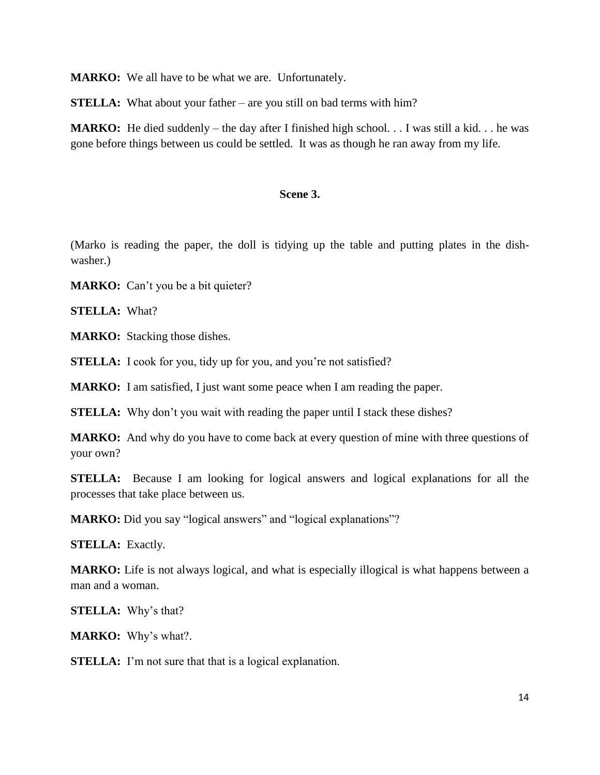**MARKO:** We all have to be what we are. Unfortunately.

**STELLA:** What about your father – are you still on bad terms with him?

**MARKO:** He died suddenly – the day after I finished high school. . . I was still a kid. . . he was gone before things between us could be settled. It was as though he ran away from my life.

# **Scene 3.**

(Marko is reading the paper, the doll is tidying up the table and putting plates in the dishwasher.)

**MARKO:** Can't you be a bit quieter?

**STELLA:** What?

**MARKO:** Stacking those dishes.

**STELLA:** I cook for you, tidy up for you, and you're not satisfied?

**MARKO:** I am satisfied, I just want some peace when I am reading the paper.

**STELLA:** Why don't you wait with reading the paper until I stack these dishes?

**MARKO:** And why do you have to come back at every question of mine with three questions of your own?

**STELLA:** Because I am looking for logical answers and logical explanations for all the processes that take place between us.

**MARKO:** Did you say "logical answers" and "logical explanations"?

**STELLA:** Exactly.

**MARKO:** Life is not always logical, and what is especially illogical is what happens between a man and a woman.

**STELLA:** Why's that?

**MARKO:** Why's what?.

**STELLA:** I'm not sure that that is a logical explanation.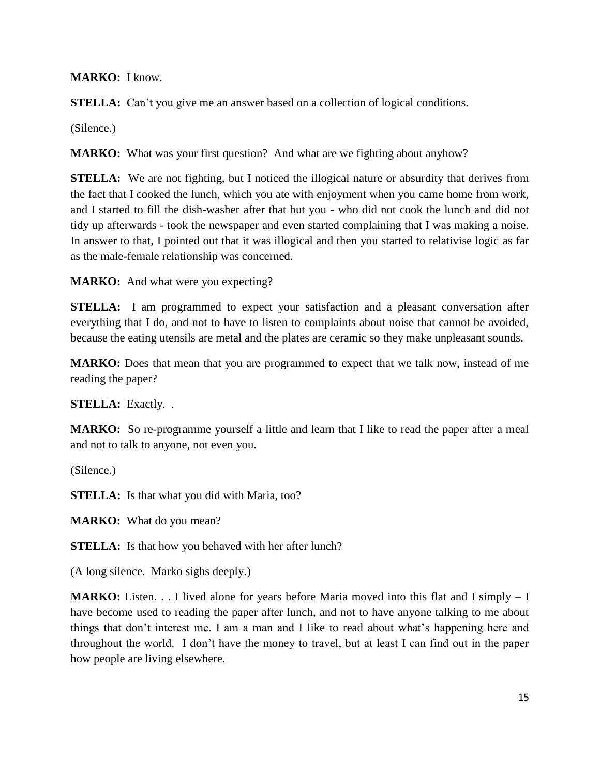**MARKO:** I know.

**STELLA:** Can't you give me an answer based on a collection of logical conditions.

(Silence.)

**MARKO:** What was your first question? And what are we fighting about anyhow?

**STELLA:** We are not fighting, but I noticed the illogical nature or absurdity that derives from the fact that I cooked the lunch, which you ate with enjoyment when you came home from work, and I started to fill the dish-washer after that but you - who did not cook the lunch and did not tidy up afterwards - took the newspaper and even started complaining that I was making a noise. In answer to that, I pointed out that it was illogical and then you started to relativise logic as far as the male-female relationship was concerned.

**MARKO:** And what were you expecting?

**STELLA:** I am programmed to expect your satisfaction and a pleasant conversation after everything that I do, and not to have to listen to complaints about noise that cannot be avoided, because the eating utensils are metal and the plates are ceramic so they make unpleasant sounds.

**MARKO:** Does that mean that you are programmed to expect that we talk now, instead of me reading the paper?

**STELLA:** Exactly. .

**MARKO:** So re-programme yourself a little and learn that I like to read the paper after a meal and not to talk to anyone, not even you.

(Silence.)

**STELLA:** Is that what you did with Maria, too?

**MARKO:** What do you mean?

**STELLA:** Is that how you behaved with her after lunch?

(A long silence. Marko sighs deeply.)

**MARKO:** Listen. . . I lived alone for years before Maria moved into this flat and I simply – I have become used to reading the paper after lunch, and not to have anyone talking to me about things that don't interest me. I am a man and I like to read about what's happening here and throughout the world. I don't have the money to travel, but at least I can find out in the paper how people are living elsewhere.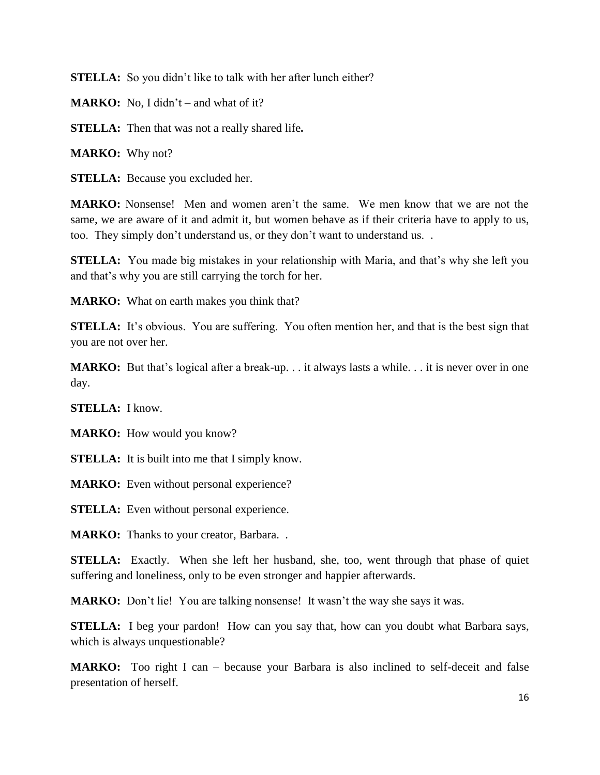**STELLA:** So you didn't like to talk with her after lunch either?

**MARKO:** No, I didn't – and what of it?

**STELLA:** Then that was not a really shared life**.** 

**MARKO:** Why not?

**STELLA:** Because you excluded her.

**MARKO:** Nonsense! Men and women aren't the same. We men know that we are not the same, we are aware of it and admit it, but women behave as if their criteria have to apply to us, too. They simply don't understand us, or they don't want to understand us. .

**STELLA:** You made big mistakes in your relationship with Maria, and that's why she left you and that's why you are still carrying the torch for her.

**MARKO:** What on earth makes you think that?

**STELLA:** It's obvious. You are suffering. You often mention her, and that is the best sign that you are not over her.

**MARKO:** But that's logical after a break-up. . . it always lasts a while. . . it is never over in one day.

**STELLA:** I know.

**MARKO:** How would you know?

**STELLA:** It is built into me that I simply know.

**MARKO:** Even without personal experience?

**STELLA:** Even without personal experience.

**MARKO:** Thanks to your creator, Barbara...

**STELLA:** Exactly. When she left her husband, she, too, went through that phase of quiet suffering and loneliness, only to be even stronger and happier afterwards.

**MARKO:** Don't lie! You are talking nonsense! It wasn't the way she says it was.

**STELLA:** I beg your pardon! How can you say that, how can you doubt what Barbara says, which is always unquestionable?

**MARKO:** Too right I can – because your Barbara is also inclined to self-deceit and false presentation of herself.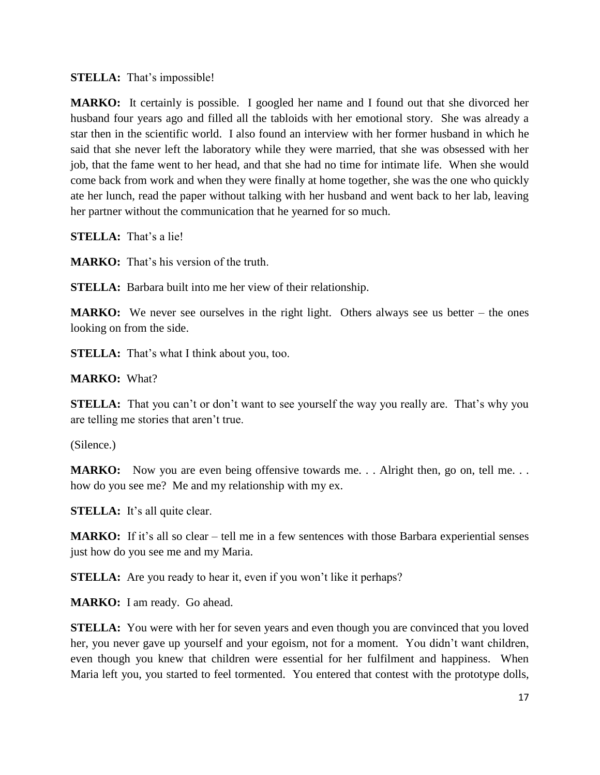# **STELLA:** That's impossible!

**MARKO:** It certainly is possible. I googled her name and I found out that she divorced her husband four years ago and filled all the tabloids with her emotional story. She was already a star then in the scientific world. I also found an interview with her former husband in which he said that she never left the laboratory while they were married, that she was obsessed with her job, that the fame went to her head, and that she had no time for intimate life. When she would come back from work and when they were finally at home together, she was the one who quickly ate her lunch, read the paper without talking with her husband and went back to her lab, leaving her partner without the communication that he yearned for so much.

**STELLA:** That's a lie!

**MARKO:** That's his version of the truth.

**STELLA:** Barbara built into me her view of their relationship.

**MARKO:** We never see ourselves in the right light. Others always see us better – the ones looking on from the side.

**STELLA:** That's what I think about you, too.

**MARKO:** What?

**STELLA:** That you can't or don't want to see yourself the way you really are. That's why you are telling me stories that aren't true.

(Silence.)

**MARKO:** Now you are even being offensive towards me. . . Alright then, go on, tell me. . . how do you see me? Me and my relationship with my ex.

**STELLA:** It's all quite clear.

**MARKO:** If it's all so clear – tell me in a few sentences with those Barbara experiential senses just how do you see me and my Maria.

**STELLA:** Are you ready to hear it, even if you won't like it perhaps?

**MARKO:** I am ready. Go ahead.

**STELLA:** You were with her for seven years and even though you are convinced that you loved her, you never gave up yourself and your egoism, not for a moment. You didn't want children, even though you knew that children were essential for her fulfilment and happiness. When Maria left you, you started to feel tormented. You entered that contest with the prototype dolls,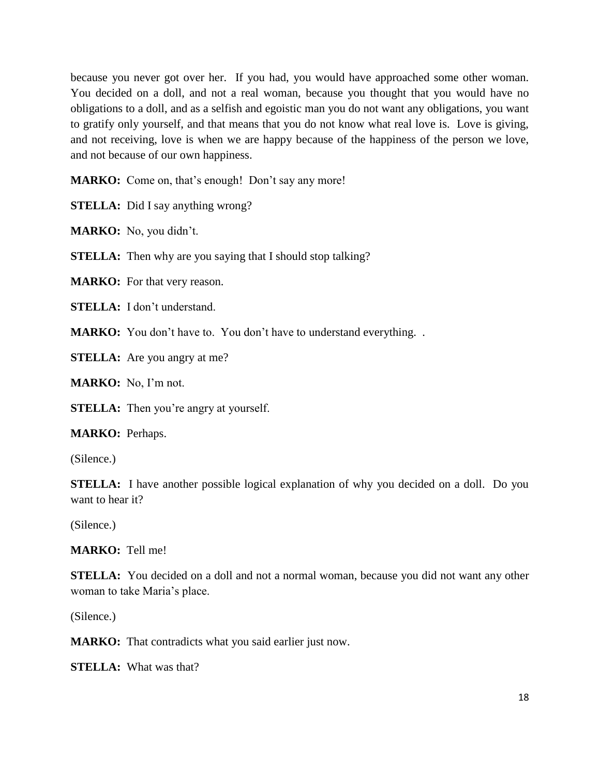because you never got over her. If you had, you would have approached some other woman. You decided on a doll, and not a real woman, because you thought that you would have no obligations to a doll, and as a selfish and egoistic man you do not want any obligations, you want to gratify only yourself, and that means that you do not know what real love is. Love is giving, and not receiving, love is when we are happy because of the happiness of the person we love, and not because of our own happiness.

**MARKO:** Come on, that's enough! Don't say any more!

**STELLA:** Did I say anything wrong?

**MARKO:** No, you didn't.

**STELLA:** Then why are you saying that I should stop talking?

**MARKO:** For that very reason.

**STELLA:** I don't understand.

**MARKO:** You don't have to. You don't have to understand everything. .

**STELLA:** Are you angry at me?

**MARKO:** No, I'm not.

**STELLA:** Then you're angry at yourself.

**MARKO:** Perhaps.

(Silence.)

**STELLA:** I have another possible logical explanation of why you decided on a doll. Do you want to hear it?

(Silence.)

**MARKO:** Tell me!

**STELLA:** You decided on a doll and not a normal woman, because you did not want any other woman to take Maria's place.

(Silence.)

**MARKO:** That contradicts what you said earlier just now.

**STELLA:** What was that?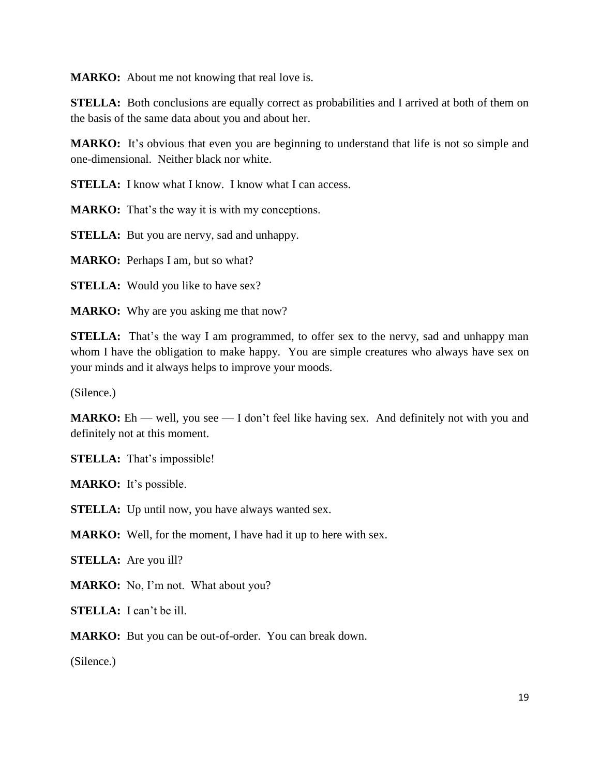**MARKO:** About me not knowing that real love is.

**STELLA:** Both conclusions are equally correct as probabilities and I arrived at both of them on the basis of the same data about you and about her.

**MARKO:** It's obvious that even you are beginning to understand that life is not so simple and one-dimensional. Neither black nor white.

**STELLA:** I know what I know. I know what I can access.

**MARKO:** That's the way it is with my conceptions.

**STELLA:** But you are nervy, sad and unhappy.

**MARKO:** Perhaps I am, but so what?

**STELLA:** Would you like to have sex?

**MARKO:** Why are you asking me that now?

**STELLA:** That's the way I am programmed, to offer sex to the nervy, sad and unhappy man whom I have the obligation to make happy. You are simple creatures who always have sex on your minds and it always helps to improve your moods.

(Silence.)

**MARKO:** Eh — well, you see — I don't feel like having sex. And definitely not with you and definitely not at this moment.

**STELLA:** That's impossible!

**MARKO:** It's possible.

**STELLA:** Up until now, you have always wanted sex.

**MARKO:** Well, for the moment, I have had it up to here with sex.

**STELLA:** Are you ill?

**MARKO:** No, I'm not. What about you?

**STELLA:** I can't be ill.

**MARKO:** But you can be out-of-order. You can break down.

(Silence.)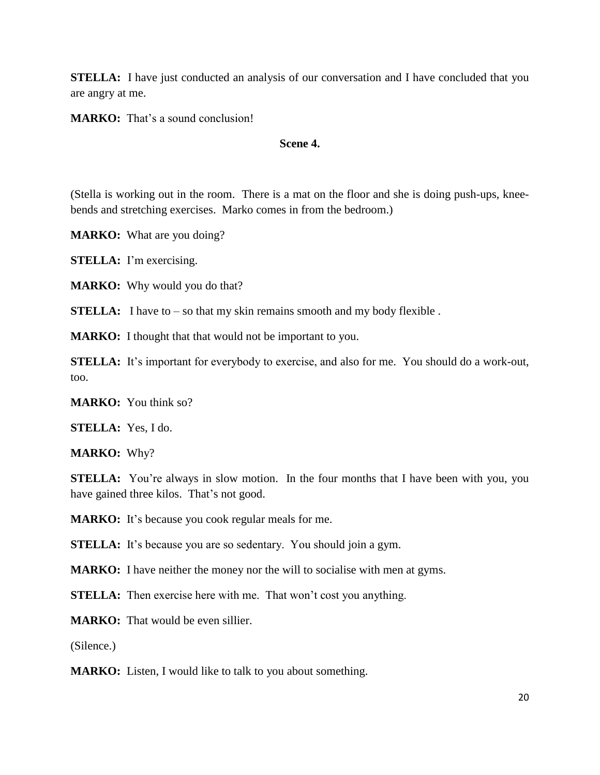**STELLA:** I have just conducted an analysis of our conversation and I have concluded that you are angry at me.

**MARKO:** That's a sound conclusion!

#### **Scene 4.**

(Stella is working out in the room. There is a mat on the floor and she is doing push-ups, kneebends and stretching exercises. Marko comes in from the bedroom.)

**MARKO:** What are you doing?

**STELLA:** I'm exercising.

**MARKO:** Why would you do that?

**STELLA:** I have to – so that my skin remains smooth and my body flexible.

**MARKO:** I thought that that would not be important to you.

**STELLA:** It's important for everybody to exercise, and also for me. You should do a work-out, too.

**MARKO:** You think so?

**STELLA:** Yes, I do.

**MARKO:** Why?

**STELLA:** You're always in slow motion. In the four months that I have been with you, you have gained three kilos. That's not good.

**MARKO:** It's because you cook regular meals for me.

**STELLA:** It's because you are so sedentary. You should join a gym.

**MARKO:** I have neither the money nor the will to socialise with men at gyms.

**STELLA:** Then exercise here with me. That won't cost you anything.

**MARKO:** That would be even sillier.

(Silence.)

**MARKO:** Listen, I would like to talk to you about something.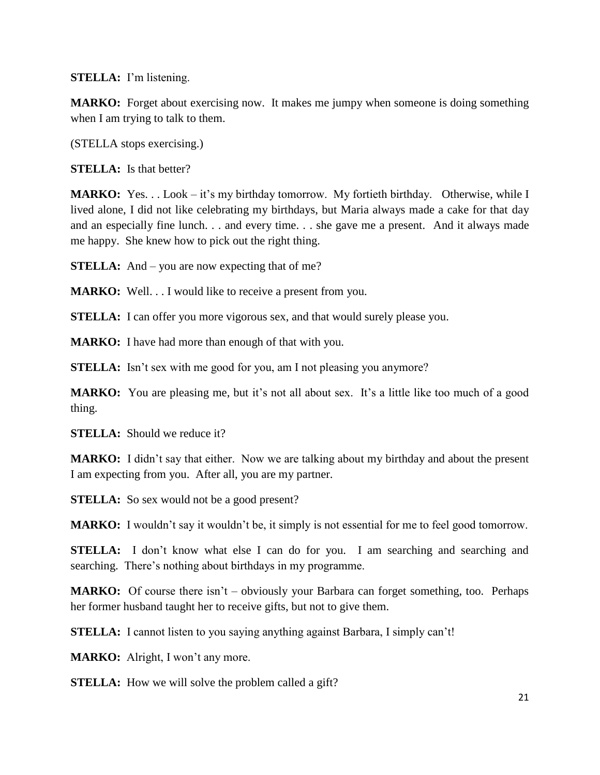**STELLA:** I'm listening.

**MARKO:** Forget about exercising now. It makes me jumpy when someone is doing something when I am trying to talk to them.

(STELLA stops exercising.)

**STELLA:** Is that better?

**MARKO:** Yes. . . Look – it's my birthday tomorrow. My fortieth birthday. Otherwise, while I lived alone, I did not like celebrating my birthdays, but Maria always made a cake for that day and an especially fine lunch. . . and every time. . . she gave me a present. And it always made me happy. She knew how to pick out the right thing.

**STELLA:** And – you are now expecting that of me?

**MARKO:** Well. . . I would like to receive a present from you.

**STELLA:** I can offer you more vigorous sex, and that would surely please you.

**MARKO:** I have had more than enough of that with you.

**STELLA:** Isn't sex with me good for you, am I not pleasing you anymore?

**MARKO:** You are pleasing me, but it's not all about sex. It's a little like too much of a good thing.

**STELLA:** Should we reduce it?

**MARKO:** I didn't say that either. Now we are talking about my birthday and about the present I am expecting from you. After all, you are my partner.

**STELLA:** So sex would not be a good present?

**MARKO:** I wouldn't say it wouldn't be, it simply is not essential for me to feel good tomorrow.

**STELLA:** I don't know what else I can do for you. I am searching and searching and searching. There's nothing about birthdays in my programme.

**MARKO:** Of course there isn't – obviously your Barbara can forget something, too. Perhaps her former husband taught her to receive gifts, but not to give them.

**STELLA:** I cannot listen to you saying anything against Barbara, I simply can't!

**MARKO:** Alright, I won't any more.

**STELLA:** How we will solve the problem called a gift?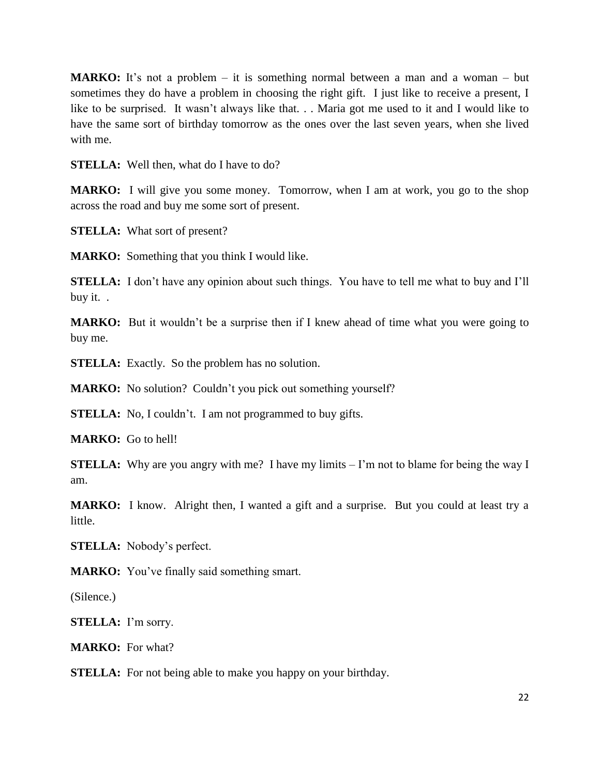**MARKO:** It's not a problem – it is something normal between a man and a woman – but sometimes they do have a problem in choosing the right gift. I just like to receive a present, I like to be surprised. It wasn't always like that. . . Maria got me used to it and I would like to have the same sort of birthday tomorrow as the ones over the last seven years, when she lived with me.

**STELLA:** Well then, what do I have to do?

**MARKO:** I will give you some money. Tomorrow, when I am at work, you go to the shop across the road and buy me some sort of present.

**STELLA:** What sort of present?

**MARKO:** Something that you think I would like.

**STELLA:** I don't have any opinion about such things. You have to tell me what to buy and I'll buy it. .

**MARKO:** But it wouldn't be a surprise then if I knew ahead of time what you were going to buy me.

**STELLA:** Exactly. So the problem has no solution.

**MARKO:** No solution? Couldn't you pick out something yourself?

**STELLA:** No, I couldn't. I am not programmed to buy gifts.

**MARKO:** Go to hell!

**STELLA:** Why are you angry with me? I have my limits – I'm not to blame for being the way I am.

**MARKO:** I know. Alright then, I wanted a gift and a surprise. But you could at least try a little.

**STELLA:** Nobody's perfect.

**MARKO:** You've finally said something smart.

(Silence.)

**STELLA:** I'm sorry.

**MARKO:** For what?

**STELLA:** For not being able to make you happy on your birthday.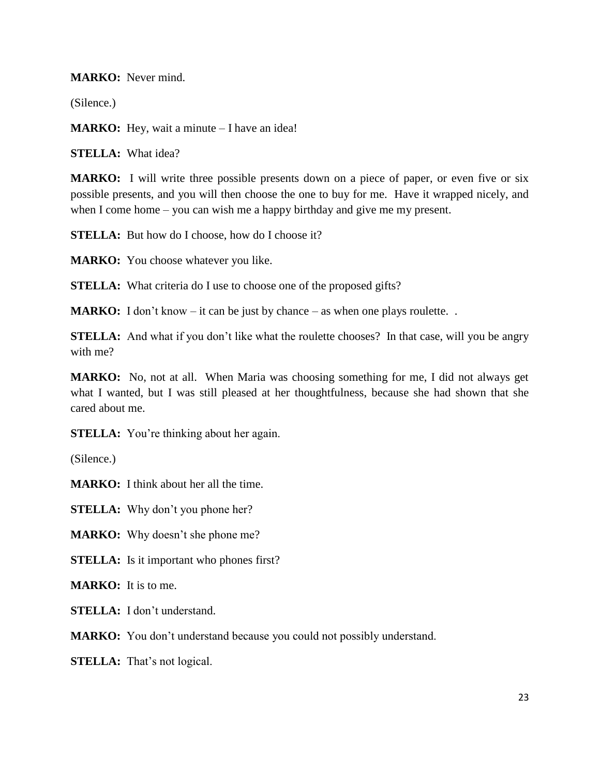**MARKO:** Never mind.

(Silence.)

**MARKO:** Hey, wait a minute – I have an idea!

**STELLA:** What idea?

**MARKO:** I will write three possible presents down on a piece of paper, or even five or six possible presents, and you will then choose the one to buy for me. Have it wrapped nicely, and when I come home – you can wish me a happy birthday and give me my present.

**STELLA:** But how do I choose, how do I choose it?

**MARKO:** You choose whatever you like.

**STELLA:** What criteria do I use to choose one of the proposed gifts?

**MARKO:** I don't know – it can be just by chance – as when one plays roulette...

**STELLA:** And what if you don't like what the roulette chooses? In that case, will you be angry with me?

**MARKO:** No, not at all. When Maria was choosing something for me, I did not always get what I wanted, but I was still pleased at her thoughtfulness, because she had shown that she cared about me.

**STELLA:** You're thinking about her again.

(Silence.)

**MARKO:** I think about her all the time.

**STELLA:** Why don't you phone her?

**MARKO:** Why doesn't she phone me?

**STELLA:** Is it important who phones first?

**MARKO:** It is to me.

**STELLA:** I don't understand.

**MARKO:** You don't understand because you could not possibly understand.

**STELLA:** That's not logical.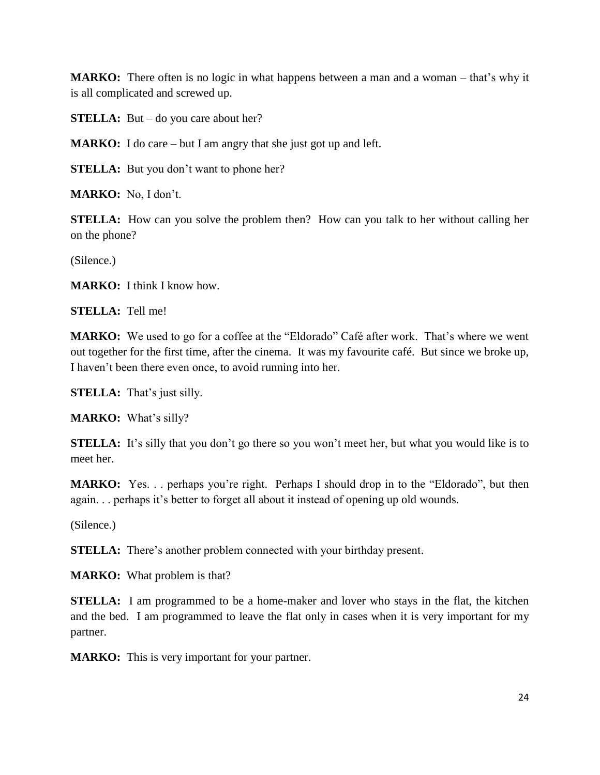**MARKO:** There often is no logic in what happens between a man and a woman – that's why it is all complicated and screwed up.

**STELLA:** But – do you care about her?

**MARKO:** I do care – but I am angry that she just got up and left.

**STELLA:** But you don't want to phone her?

**MARKO:** No, I don't.

**STELLA:** How can you solve the problem then? How can you talk to her without calling her on the phone?

(Silence.)

**MARKO:** I think I know how.

**STELLA:** Tell me!

**MARKO:** We used to go for a coffee at the "Eldorado" Café after work. That's where we went out together for the first time, after the cinema. It was my favourite café. But since we broke up, I haven't been there even once, to avoid running into her.

**STELLA:** That's just silly.

**MARKO:** What's silly?

**STELLA:** It's silly that you don't go there so you won't meet her, but what you would like is to meet her.

**MARKO:** Yes. . . perhaps you're right. Perhaps I should drop in to the "Eldorado", but then again. . . perhaps it's better to forget all about it instead of opening up old wounds.

(Silence.)

**STELLA:** There's another problem connected with your birthday present.

**MARKO:** What problem is that?

**STELLA:** I am programmed to be a home-maker and lover who stays in the flat, the kitchen and the bed. I am programmed to leave the flat only in cases when it is very important for my partner.

**MARKO:** This is very important for your partner.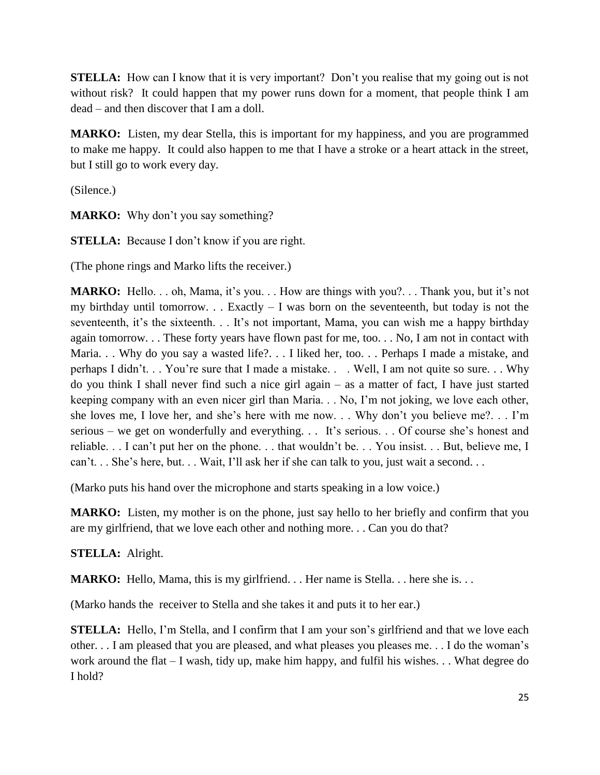**STELLA:** How can I know that it is very important? Don't you realise that my going out is not without risk? It could happen that my power runs down for a moment, that people think I am dead – and then discover that I am a doll.

**MARKO:** Listen, my dear Stella, this is important for my happiness, and you are programmed to make me happy. It could also happen to me that I have a stroke or a heart attack in the street, but I still go to work every day.

(Silence.)

**MARKO:** Why don't you say something?

**STELLA:** Because I don't know if you are right.

(The phone rings and Marko lifts the receiver.)

**MARKO:** Hello. . . oh, Mama, it's you. . . How are things with you?. . . Thank you, but it's not my birthday until tomorrow. . . Exactly  $- I$  was born on the seventeenth, but today is not the seventeenth, it's the sixteenth. . . It's not important, Mama, you can wish me a happy birthday again tomorrow. . . These forty years have flown past for me, too. . . No, I am not in contact with Maria. . . Why do you say a wasted life?. . . I liked her, too. . . Perhaps I made a mistake, and perhaps I didn't. . . You're sure that I made a mistake. . . Well, I am not quite so sure. . . Why do you think I shall never find such a nice girl again – as a matter of fact, I have just started keeping company with an even nicer girl than Maria. . . No, I'm not joking, we love each other, she loves me, I love her, and she's here with me now. . . Why don't you believe me?. . . I'm serious – we get on wonderfully and everything. . . It's serious. . . Of course she's honest and reliable. . . I can't put her on the phone. . . that wouldn't be. . . You insist. . . But, believe me, I can't. . . She's here, but. . . Wait, I'll ask her if she can talk to you, just wait a second. . .

(Marko puts his hand over the microphone and starts speaking in a low voice.)

**MARKO:** Listen, my mother is on the phone, just say hello to her briefly and confirm that you are my girlfriend, that we love each other and nothing more. . . Can you do that?

**STELLA:** Alright.

**MARKO:** Hello, Mama, this is my girlfriend. . . Her name is Stella. . . here she is. . .

(Marko hands the receiver to Stella and she takes it and puts it to her ear.)

**STELLA:** Hello, I'm Stella, and I confirm that I am your son's girlfriend and that we love each other. . . I am pleased that you are pleased, and what pleases you pleases me. . . I do the woman's work around the flat – I wash, tidy up, make him happy, and fulfil his wishes. . . What degree do I hold?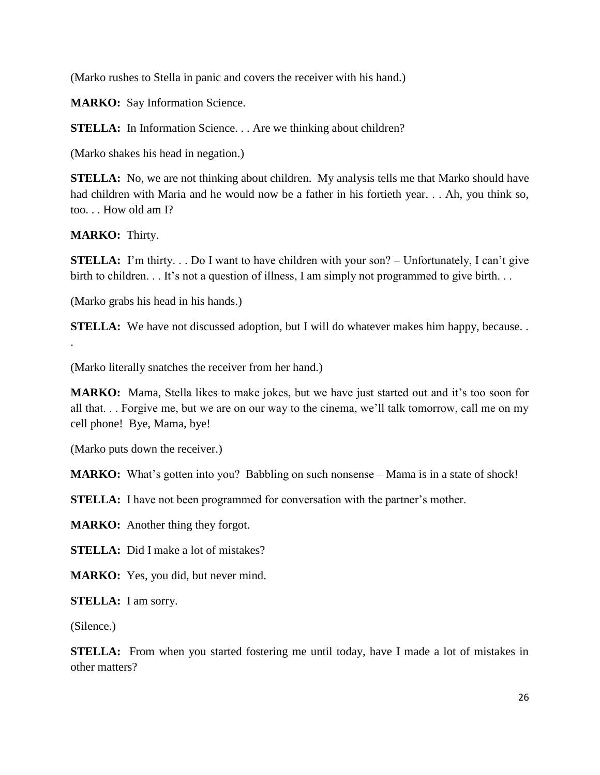(Marko rushes to Stella in panic and covers the receiver with his hand.)

**MARKO:** Say Information Science.

**STELLA:** In Information Science. . . Are we thinking about children?

(Marko shakes his head in negation.)

**STELLA:** No, we are not thinking about children. My analysis tells me that Marko should have had children with Maria and he would now be a father in his fortieth year. . . Ah, you think so, too. . . How old am I?

**MARKO:** Thirty.

.

**STELLA:** I'm thirty... Do I want to have children with your son? – Unfortunately, I can't give birth to children. . . It's not a question of illness, I am simply not programmed to give birth. . .

(Marko grabs his head in his hands.)

**STELLA:** We have not discussed adoption, but I will do whatever makes him happy, because...

(Marko literally snatches the receiver from her hand.)

**MARKO:** Mama, Stella likes to make jokes, but we have just started out and it's too soon for all that. . . Forgive me, but we are on our way to the cinema, we'll talk tomorrow, call me on my cell phone! Bye, Mama, bye!

(Marko puts down the receiver.)

**MARKO:** What's gotten into you? Babbling on such nonsense – Mama is in a state of shock!

**STELLA:** I have not been programmed for conversation with the partner's mother.

**MARKO:** Another thing they forgot.

**STELLA:** Did I make a lot of mistakes?

**MARKO:** Yes, you did, but never mind.

**STELLA:** I am sorry.

(Silence.)

**STELLA:** From when you started fostering me until today, have I made a lot of mistakes in other matters?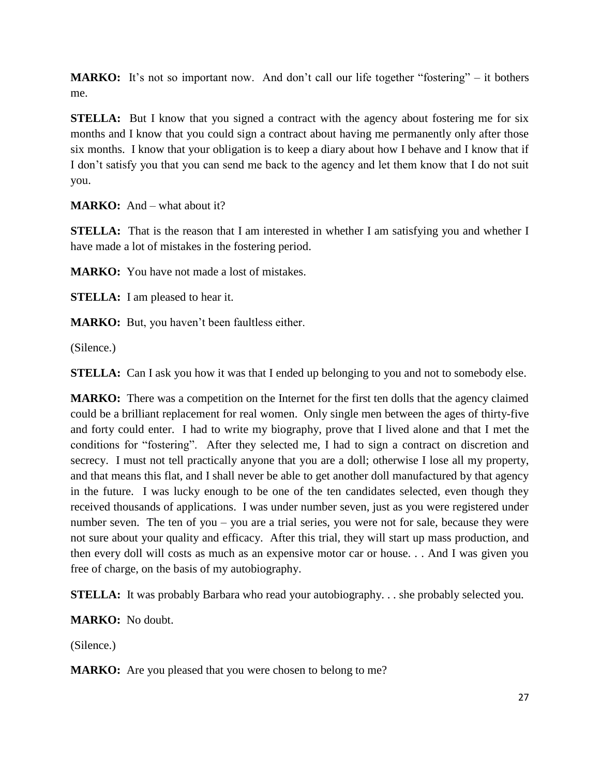MARKO: It's not so important now. And don't call our life together "fostering" – it bothers me.

**STELLA:** But I know that you signed a contract with the agency about fostering me for six months and I know that you could sign a contract about having me permanently only after those six months. I know that your obligation is to keep a diary about how I behave and I know that if I don't satisfy you that you can send me back to the agency and let them know that I do not suit you.

**MARKO:** And – what about it?

**STELLA:** That is the reason that I am interested in whether I am satisfying you and whether I have made a lot of mistakes in the fostering period.

**MARKO:** You have not made a lost of mistakes.

**STELLA:** I am pleased to hear it.

**MARKO:** But, you haven't been faultless either.

(Silence.)

**STELLA:** Can I ask you how it was that I ended up belonging to you and not to somebody else.

**MARKO:** There was a competition on the Internet for the first ten dolls that the agency claimed could be a brilliant replacement for real women. Only single men between the ages of thirty-five and forty could enter. I had to write my biography, prove that I lived alone and that I met the conditions for "fostering". After they selected me, I had to sign a contract on discretion and secrecy. I must not tell practically anyone that you are a doll; otherwise I lose all my property, and that means this flat, and I shall never be able to get another doll manufactured by that agency in the future. I was lucky enough to be one of the ten candidates selected, even though they received thousands of applications. I was under number seven, just as you were registered under number seven. The ten of you – you are a trial series, you were not for sale, because they were not sure about your quality and efficacy. After this trial, they will start up mass production, and then every doll will costs as much as an expensive motor car or house. . . And I was given you free of charge, on the basis of my autobiography.

**STELLA:** It was probably Barbara who read your autobiography. . . she probably selected you.

**MARKO:** No doubt.

(Silence.)

**MARKO:** Are you pleased that you were chosen to belong to me?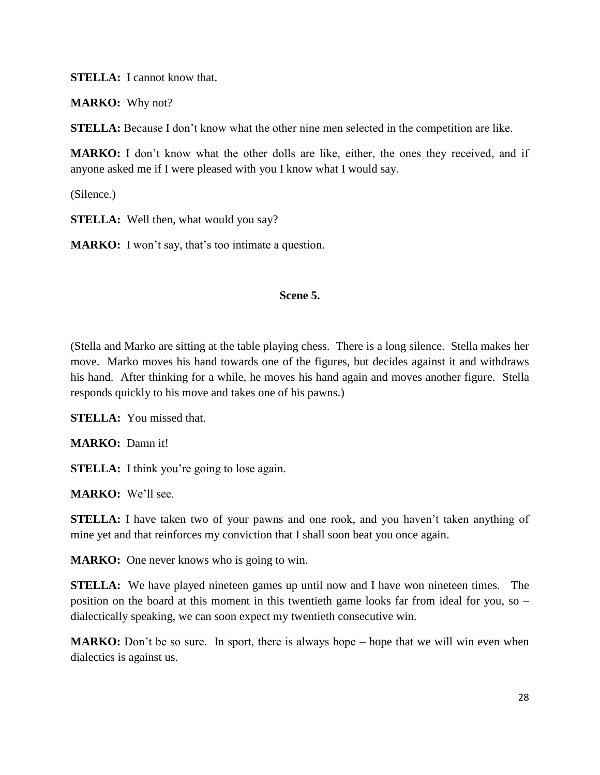**STELLA:** I cannot know that.

**MARKO:** Why not?

**STELLA:** Because I don't know what the other nine men selected in the competition are like.

**MARKO:** I don't know what the other dolls are like, either, the ones they received, and if anyone asked me if I were pleased with you I know what I would say.

(Silence.)

**STELLA:** Well then, what would you say?

**MARKO:** I won't say, that's too intimate a question.

### **Scene 5.**

(Stella and Marko are sitting at the table playing chess. There is a long silence. Stella makes her move. Marko moves his hand towards one of the figures, but decides against it and withdraws his hand. After thinking for a while, he moves his hand again and moves another figure. Stella responds quickly to his move and takes one of his pawns.)

**STELLA:** You missed that.

**MARKO:** Damn it!

**STELLA:** I think you're going to lose again.

**MARKO:** We'll see.

**STELLA:** I have taken two of your pawns and one rook, and you haven't taken anything of mine yet and that reinforces my conviction that I shall soon beat you once again.

**MARKO:** One never knows who is going to win.

**STELLA:** We have played nineteen games up until now and I have won nineteen times. The position on the board at this moment in this twentieth game looks far from ideal for you, so – dialectically speaking, we can soon expect my twentieth consecutive win.

**MARKO:** Don't be so sure. In sport, there is always hope – hope that we will win even when dialectics is against us.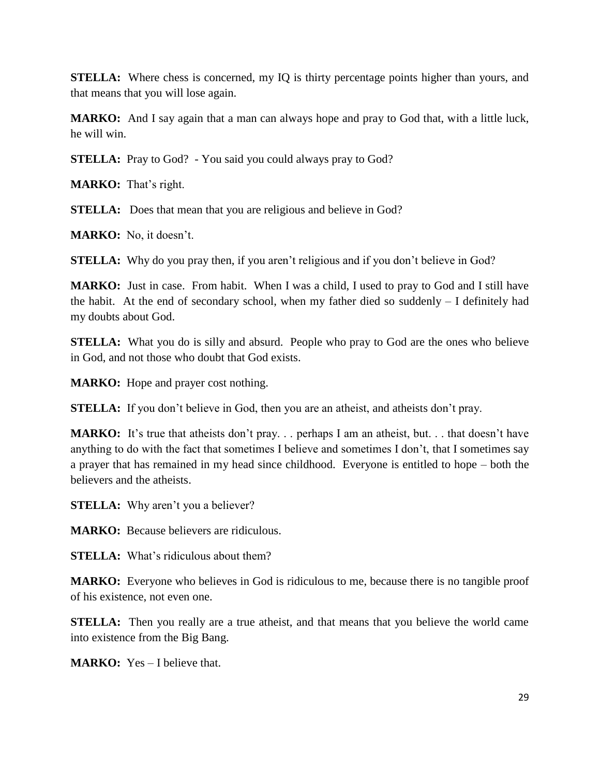**STELLA:** Where chess is concerned, my IQ is thirty percentage points higher than yours, and that means that you will lose again.

**MARKO:** And I say again that a man can always hope and pray to God that, with a little luck, he will win.

**STELLA:** Pray to God? - You said you could always pray to God?

**MARKO:** That's right.

**STELLA:** Does that mean that you are religious and believe in God?

**MARKO:** No, it doesn't.

**STELLA:** Why do you pray then, if you aren't religious and if you don't believe in God?

**MARKO:** Just in case. From habit. When I was a child, I used to pray to God and I still have the habit. At the end of secondary school, when my father died so suddenly – I definitely had my doubts about God.

**STELLA:** What you do is silly and absurd. People who pray to God are the ones who believe in God, and not those who doubt that God exists.

**MARKO:** Hope and prayer cost nothing.

**STELLA:** If you don't believe in God, then you are an atheist, and atheists don't pray.

**MARKO:** It's true that atheists don't pray. . . perhaps I am an atheist, but. . . that doesn't have anything to do with the fact that sometimes I believe and sometimes I don't, that I sometimes say a prayer that has remained in my head since childhood. Everyone is entitled to hope – both the believers and the atheists.

**STELLA:** Why aren't you a believer?

**MARKO:** Because believers are ridiculous.

**STELLA:** What's ridiculous about them?

**MARKO:** Everyone who believes in God is ridiculous to me, because there is no tangible proof of his existence, not even one.

**STELLA:** Then you really are a true atheist, and that means that you believe the world came into existence from the Big Bang.

**MARKO:** Yes – I believe that.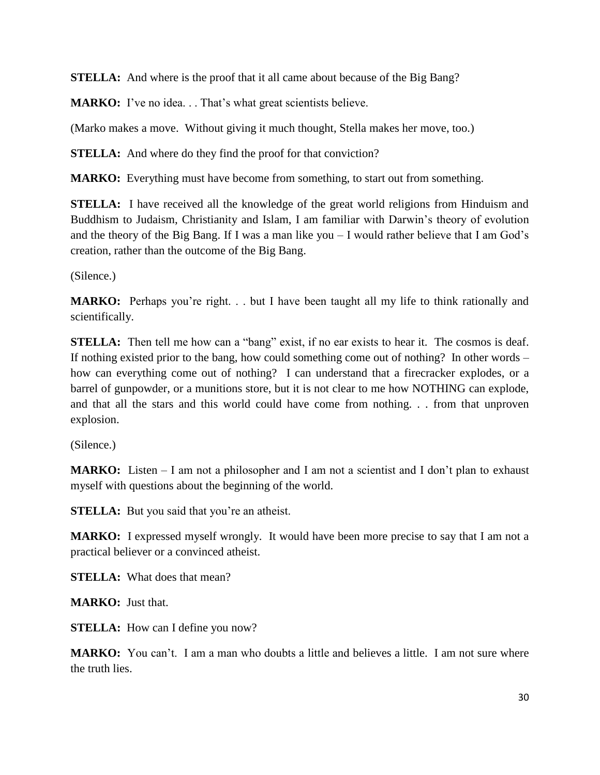**STELLA:** And where is the proof that it all came about because of the Big Bang?

**MARKO:** I've no idea. . . That's what great scientists believe.

(Marko makes a move. Without giving it much thought, Stella makes her move, too.)

**STELLA:** And where do they find the proof for that conviction?

**MARKO:** Everything must have become from something, to start out from something.

**STELLA:** I have received all the knowledge of the great world religions from Hinduism and Buddhism to Judaism, Christianity and Islam, I am familiar with Darwin's theory of evolution and the theory of the Big Bang. If I was a man like you – I would rather believe that I am God's creation, rather than the outcome of the Big Bang.

(Silence.)

**MARKO:** Perhaps you're right. . . but I have been taught all my life to think rationally and scientifically.

**STELLA:** Then tell me how can a "bang" exist, if no ear exists to hear it. The cosmos is deaf. If nothing existed prior to the bang, how could something come out of nothing? In other words – how can everything come out of nothing? I can understand that a firecracker explodes, or a barrel of gunpowder, or a munitions store, but it is not clear to me how NOTHING can explode, and that all the stars and this world could have come from nothing. . . from that unproven explosion.

(Silence.)

**MARKO:** Listen – I am not a philosopher and I am not a scientist and I don't plan to exhaust myself with questions about the beginning of the world.

**STELLA:** But you said that you're an atheist.

**MARKO:** I expressed myself wrongly. It would have been more precise to say that I am not a practical believer or a convinced atheist.

**STELLA:** What does that mean?

**MARKO:** Just that.

**STELLA:** How can I define you now?

**MARKO:** You can't. I am a man who doubts a little and believes a little. I am not sure where the truth lies.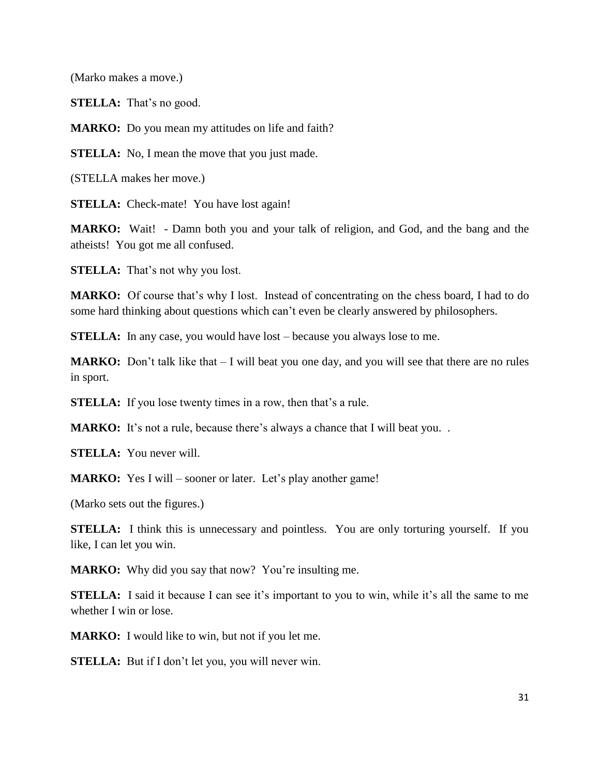(Marko makes a move.)

**STELLA:** That's no good.

**MARKO:** Do you mean my attitudes on life and faith?

**STELLA:** No, I mean the move that you just made.

(STELLA makes her move.)

**STELLA:** Check-mate! You have lost again!

**MARKO:** Wait! - Damn both you and your talk of religion, and God, and the bang and the atheists! You got me all confused.

**STELLA:** That's not why you lost.

**MARKO:** Of course that's why I lost. Instead of concentrating on the chess board, I had to do some hard thinking about questions which can't even be clearly answered by philosophers.

**STELLA:** In any case, you would have lost – because you always lose to me.

**MARKO:** Don't talk like that – I will beat you one day, and you will see that there are no rules in sport.

**STELLA:** If you lose twenty times in a row, then that's a rule.

**MARKO:** It's not a rule, because there's always a chance that I will beat you...

**STELLA:** You never will.

**MARKO:** Yes I will – sooner or later. Let's play another game!

(Marko sets out the figures.)

**STELLA:** I think this is unnecessary and pointless. You are only torturing yourself. If you like, I can let you win.

**MARKO:** Why did you say that now? You're insulting me.

**STELLA:** I said it because I can see it's important to you to win, while it's all the same to me whether I win or lose.

**MARKO:** I would like to win, but not if you let me.

**STELLA:** But if I don't let you, you will never win.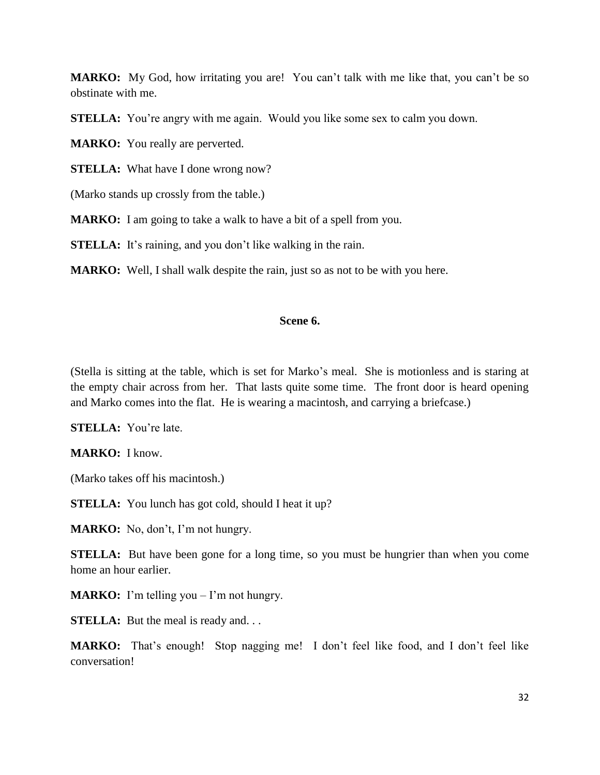**MARKO:** My God, how irritating you are! You can't talk with me like that, you can't be so obstinate with me.

**STELLA:** You're angry with me again. Would you like some sex to calm you down.

**MARKO:** You really are perverted.

**STELLA:** What have I done wrong now?

(Marko stands up crossly from the table.)

**MARKO:** I am going to take a walk to have a bit of a spell from you.

**STELLA:** It's raining, and you don't like walking in the rain.

**MARKO:** Well, I shall walk despite the rain, just so as not to be with you here.

### **Scene 6.**

(Stella is sitting at the table, which is set for Marko's meal. She is motionless and is staring at the empty chair across from her. That lasts quite some time. The front door is heard opening and Marko comes into the flat. He is wearing a macintosh, and carrying a briefcase.)

**STELLA:** You're late.

**MARKO:** I know.

(Marko takes off his macintosh.)

**STELLA:** You lunch has got cold, should I heat it up?

**MARKO:** No, don't, I'm not hungry.

**STELLA:** But have been gone for a long time, so you must be hungrier than when you come home an hour earlier.

**MARKO:** I'm telling you – I'm not hungry.

**STELLA:** But the meal is ready and...

**MARKO:** That's enough! Stop nagging me! I don't feel like food, and I don't feel like conversation!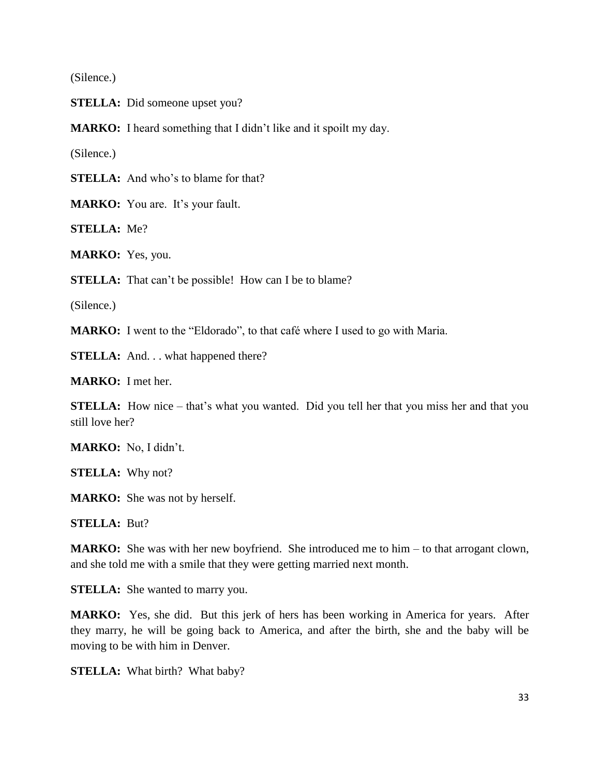(Silence.)

**STELLA:** Did someone upset you?

**MARKO:** I heard something that I didn't like and it spoilt my day.

(Silence.)

**STELLA:** And who's to blame for that?

**MARKO:** You are. It's your fault.

**STELLA:** Me?

**MARKO:** Yes, you.

**STELLA:** That can't be possible! How can I be to blame?

(Silence.)

**MARKO:** I went to the "Eldorado", to that café where I used to go with Maria.

**STELLA:** And. . . what happened there?

**MARKO:** I met her.

**STELLA:** How nice – that's what you wanted. Did you tell her that you miss her and that you still love her?

**MARKO:** No, I didn't.

**STELLA:** Why not?

**MARKO:** She was not by herself.

**STELLA:** But?

**MARKO:** She was with her new boyfriend. She introduced me to him – to that arrogant clown, and she told me with a smile that they were getting married next month.

**STELLA:** She wanted to marry you.

**MARKO:** Yes, she did. But this jerk of hers has been working in America for years. After they marry, he will be going back to America, and after the birth, she and the baby will be moving to be with him in Denver.

**STELLA:** What birth? What baby?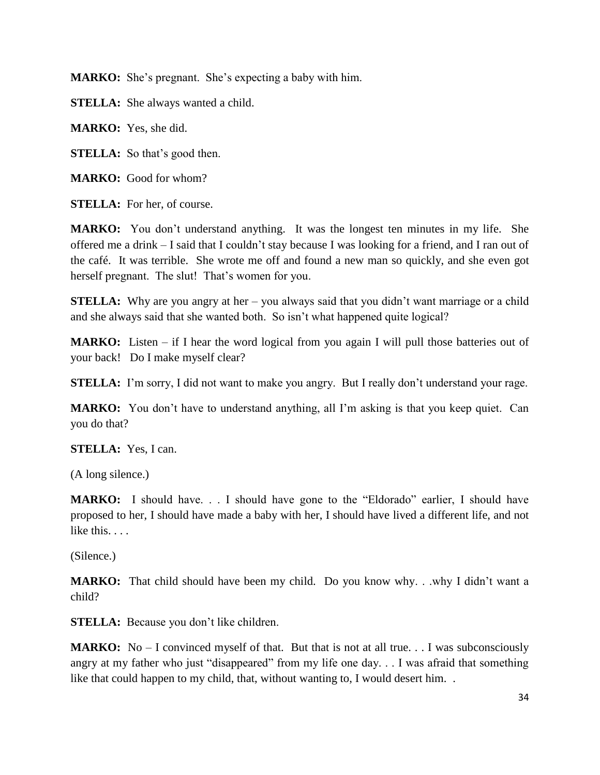**MARKO:** She's pregnant. She's expecting a baby with him.

**STELLA:** She always wanted a child.

**MARKO:** Yes, she did.

**STELLA:** So that's good then.

**MARKO:** Good for whom?

**STELLA:** For her, of course.

**MARKO:** You don't understand anything. It was the longest ten minutes in my life. She offered me a drink – I said that I couldn't stay because I was looking for a friend, and I ran out of the café. It was terrible. She wrote me off and found a new man so quickly, and she even got herself pregnant. The slut! That's women for you.

**STELLA:** Why are you angry at her – you always said that you didn't want marriage or a child and she always said that she wanted both. So isn't what happened quite logical?

**MARKO:** Listen – if I hear the word logical from you again I will pull those batteries out of your back! Do I make myself clear?

**STELLA:** I'm sorry, I did not want to make you angry. But I really don't understand your rage.

**MARKO:** You don't have to understand anything, all I'm asking is that you keep quiet. Can you do that?

**STELLA:** Yes, I can.

(A long silence.)

**MARKO:** I should have. . . I should have gone to the "Eldorado" earlier, I should have proposed to her, I should have made a baby with her, I should have lived a different life, and not like this.

(Silence.)

**MARKO:** That child should have been my child. Do you know why. . .why I didn't want a child?

**STELLA:** Because you don't like children.

**MARKO:** No – I convinced myself of that. But that is not at all true. . . I was subconsciously angry at my father who just "disappeared" from my life one day. . . I was afraid that something like that could happen to my child, that, without wanting to, I would desert him. .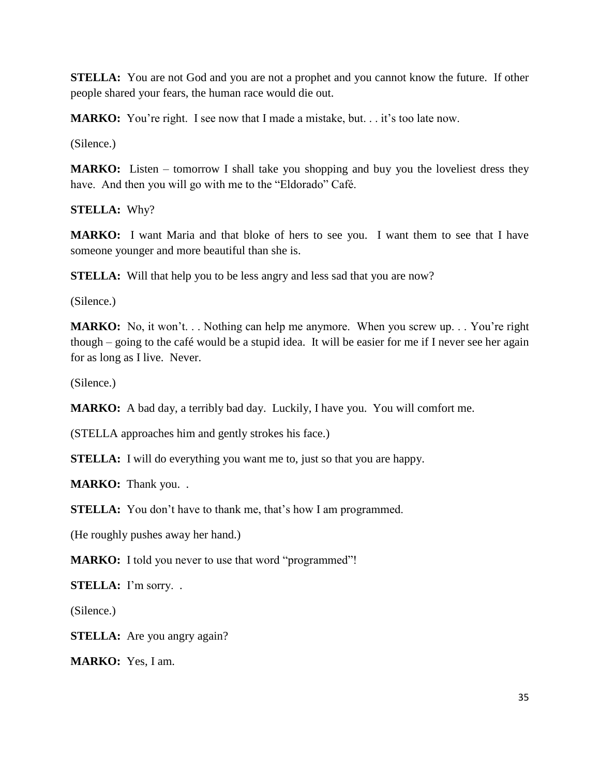**STELLA:** You are not God and you are not a prophet and you cannot know the future. If other people shared your fears, the human race would die out.

**MARKO:** You're right. I see now that I made a mistake, but. . . it's too late now.

(Silence.)

**MARKO:** Listen – tomorrow I shall take you shopping and buy you the loveliest dress they have. And then you will go with me to the "Eldorado" Café.

**STELLA:** Why?

**MARKO:** I want Maria and that bloke of hers to see you. I want them to see that I have someone younger and more beautiful than she is.

**STELLA:** Will that help you to be less angry and less sad that you are now?

(Silence.)

**MARKO:** No, it won't. . . Nothing can help me anymore. When you screw up. . . You're right though – going to the café would be a stupid idea. It will be easier for me if I never see her again for as long as I live. Never.

(Silence.)

**MARKO:** A bad day, a terribly bad day. Luckily, I have you. You will comfort me.

(STELLA approaches him and gently strokes his face.)

**STELLA:** I will do everything you want me to, just so that you are happy.

**MARKO:** Thank you. .

**STELLA:** You don't have to thank me, that's how I am programmed.

(He roughly pushes away her hand.)

**MARKO:** I told you never to use that word "programmed"!

**STELLA:** I'm sorry. .

(Silence.)

**STELLA:** Are you angry again?

**MARKO:** Yes, I am.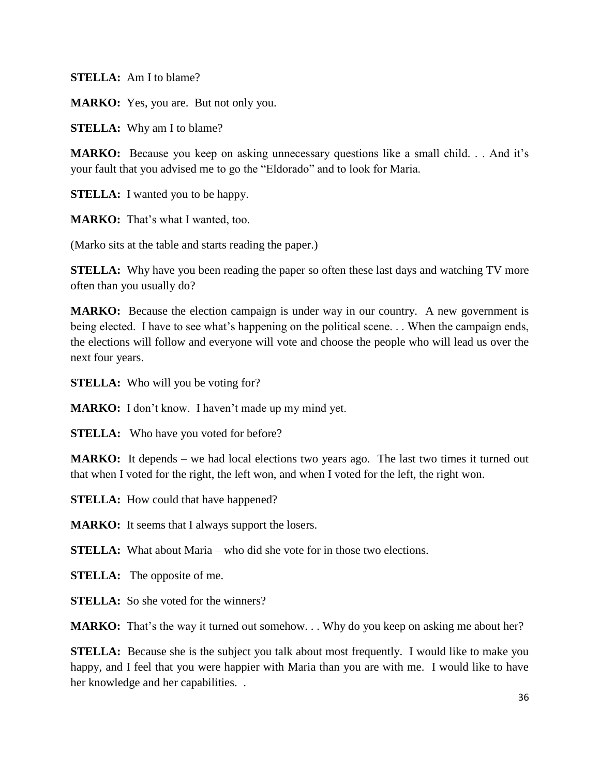**STELLA:** Am I to blame?

**MARKO:** Yes, you are. But not only you.

**STELLA:** Why am I to blame?

**MARKO:** Because you keep on asking unnecessary questions like a small child. . . And it's your fault that you advised me to go the "Eldorado" and to look for Maria.

**STELLA:** I wanted you to be happy.

**MARKO:** That's what I wanted, too.

(Marko sits at the table and starts reading the paper.)

**STELLA:** Why have you been reading the paper so often these last days and watching TV more often than you usually do?

**MARKO:** Because the election campaign is under way in our country. A new government is being elected. I have to see what's happening on the political scene... When the campaign ends, the elections will follow and everyone will vote and choose the people who will lead us over the next four years.

**STELLA:** Who will you be voting for?

**MARKO:** I don't know. I haven't made up my mind yet.

**STELLA:** Who have you voted for before?

**MARKO:** It depends – we had local elections two years ago. The last two times it turned out that when I voted for the right, the left won, and when I voted for the left, the right won.

**STELLA:** How could that have happened?

**MARKO:** It seems that I always support the losers.

**STELLA:** What about Maria – who did she vote for in those two elections.

**STELLA:** The opposite of me.

**STELLA:** So she voted for the winners?

**MARKO:** That's the way it turned out somehow. . . Why do you keep on asking me about her?

**STELLA:** Because she is the subject you talk about most frequently. I would like to make you happy, and I feel that you were happier with Maria than you are with me. I would like to have her knowledge and her capabilities. .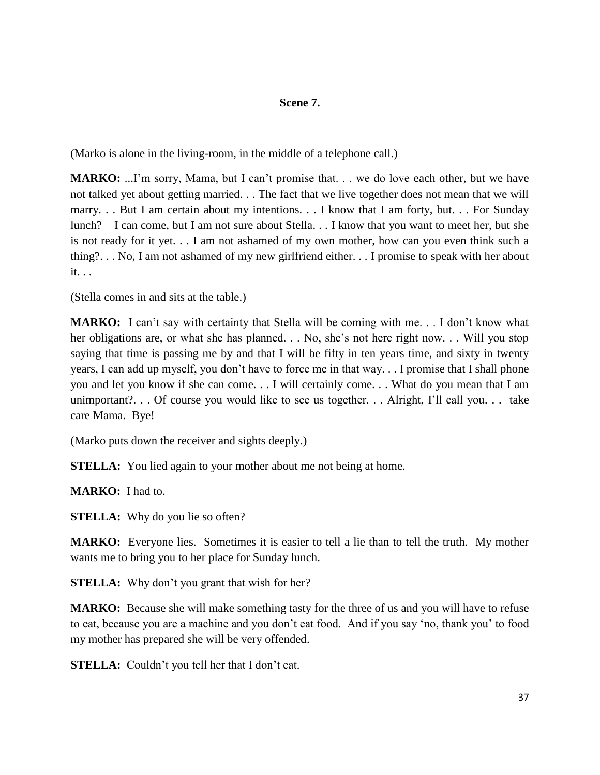# **Scene 7.**

(Marko is alone in the living-room, in the middle of a telephone call.)

**MARKO:** ...I'm sorry, Mama, but I can't promise that. . . we do love each other, but we have not talked yet about getting married. . . The fact that we live together does not mean that we will marry. . . But I am certain about my intentions. . . I know that I am forty, but. . . For Sunday lunch? – I can come, but I am not sure about Stella. . . I know that you want to meet her, but she is not ready for it yet. . . I am not ashamed of my own mother, how can you even think such a thing?. . . No, I am not ashamed of my new girlfriend either. . . I promise to speak with her about it. . .

(Stella comes in and sits at the table.)

**MARKO:** I can't say with certainty that Stella will be coming with me. . . I don't know what her obligations are, or what she has planned. . . No, she's not here right now. . . Will you stop saying that time is passing me by and that I will be fifty in ten years time, and sixty in twenty years, I can add up myself, you don't have to force me in that way. . . I promise that I shall phone you and let you know if she can come. . . I will certainly come. . . What do you mean that I am unimportant?. . . Of course you would like to see us together. . . Alright, I'll call you. . . take care Mama. Bye!

(Marko puts down the receiver and sights deeply.)

**STELLA:** You lied again to your mother about me not being at home.

**MARKO:** I had to.

**STELLA:** Why do you lie so often?

**MARKO:** Everyone lies. Sometimes it is easier to tell a lie than to tell the truth. My mother wants me to bring you to her place for Sunday lunch.

**STELLA:** Why don't you grant that wish for her?

**MARKO:** Because she will make something tasty for the three of us and you will have to refuse to eat, because you are a machine and you don't eat food. And if you say 'no, thank you' to food my mother has prepared she will be very offended.

**STELLA:** Couldn't you tell her that I don't eat.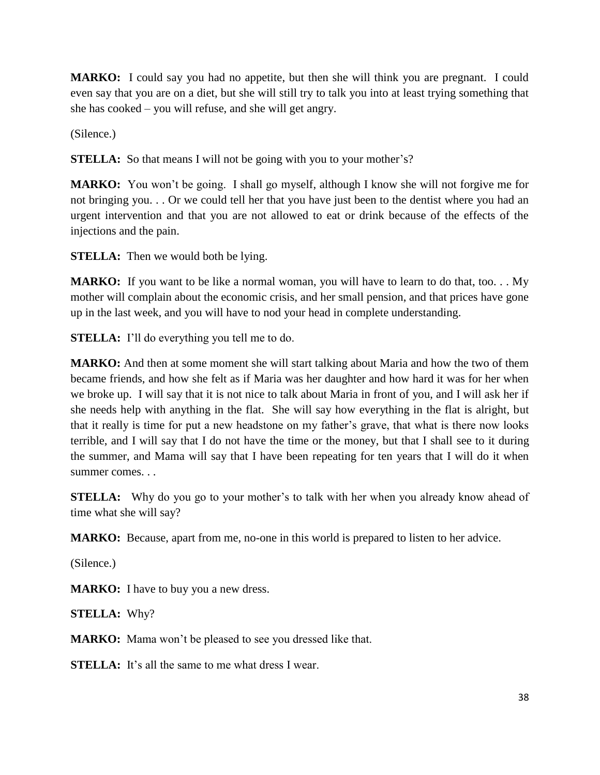**MARKO:** I could say you had no appetite, but then she will think you are pregnant. I could even say that you are on a diet, but she will still try to talk you into at least trying something that she has cooked – you will refuse, and she will get angry.

(Silence.)

**STELLA:** So that means I will not be going with you to your mother's?

**MARKO:** You won't be going. I shall go myself, although I know she will not forgive me for not bringing you. . . Or we could tell her that you have just been to the dentist where you had an urgent intervention and that you are not allowed to eat or drink because of the effects of the injections and the pain.

**STELLA:** Then we would both be lying.

**MARKO:** If you want to be like a normal woman, you will have to learn to do that, too... My mother will complain about the economic crisis, and her small pension, and that prices have gone up in the last week, and you will have to nod your head in complete understanding.

**STELLA:** I'll do everything you tell me to do.

**MARKO:** And then at some moment she will start talking about Maria and how the two of them became friends, and how she felt as if Maria was her daughter and how hard it was for her when we broke up. I will say that it is not nice to talk about Maria in front of you, and I will ask her if she needs help with anything in the flat. She will say how everything in the flat is alright, but that it really is time for put a new headstone on my father's grave, that what is there now looks terrible, and I will say that I do not have the time or the money, but that I shall see to it during the summer, and Mama will say that I have been repeating for ten years that I will do it when summer comes. . .

**STELLA:** Why do you go to your mother's to talk with her when you already know ahead of time what she will say?

**MARKO:** Because, apart from me, no-one in this world is prepared to listen to her advice.

(Silence.)

**MARKO:** I have to buy you a new dress.

**STELLA:** Why?

**MARKO:** Mama won't be pleased to see you dressed like that.

**STELLA:** It's all the same to me what dress I wear.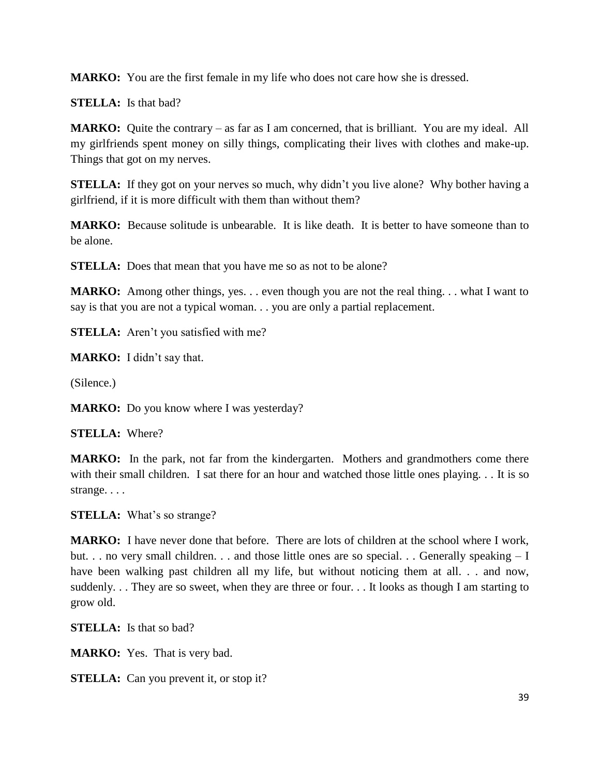**MARKO:** You are the first female in my life who does not care how she is dressed.

**STELLA:** Is that bad?

**MARKO:** Quite the contrary – as far as I am concerned, that is brilliant. You are my ideal. All my girlfriends spent money on silly things, complicating their lives with clothes and make-up. Things that got on my nerves.

**STELLA:** If they got on your nerves so much, why didn't you live alone? Why bother having a girlfriend, if it is more difficult with them than without them?

**MARKO:** Because solitude is unbearable. It is like death. It is better to have someone than to be alone.

**STELLA:** Does that mean that you have me so as not to be alone?

**MARKO:** Among other things, yes. . . even though you are not the real thing. . . what I want to say is that you are not a typical woman. . . you are only a partial replacement.

**STELLA:** Aren't you satisfied with me?

**MARKO:** I didn't say that.

(Silence.)

**MARKO:** Do you know where I was yesterday?

**STELLA:** Where?

**MARKO:** In the park, not far from the kindergarten. Mothers and grandmothers come there with their small children. I sat there for an hour and watched those little ones playing. . . It is so strange. . . .

**STELLA:** What's so strange?

**MARKO:** I have never done that before. There are lots of children at the school where I work, but. . . no very small children. . . and those little ones are so special. . . Generally speaking – I have been walking past children all my life, but without noticing them at all. . . and now, suddenly. . . They are so sweet, when they are three or four. . . It looks as though I am starting to grow old.

**STELLA:** Is that so bad?

**MARKO:** Yes. That is very bad.

**STELLA:** Can you prevent it, or stop it?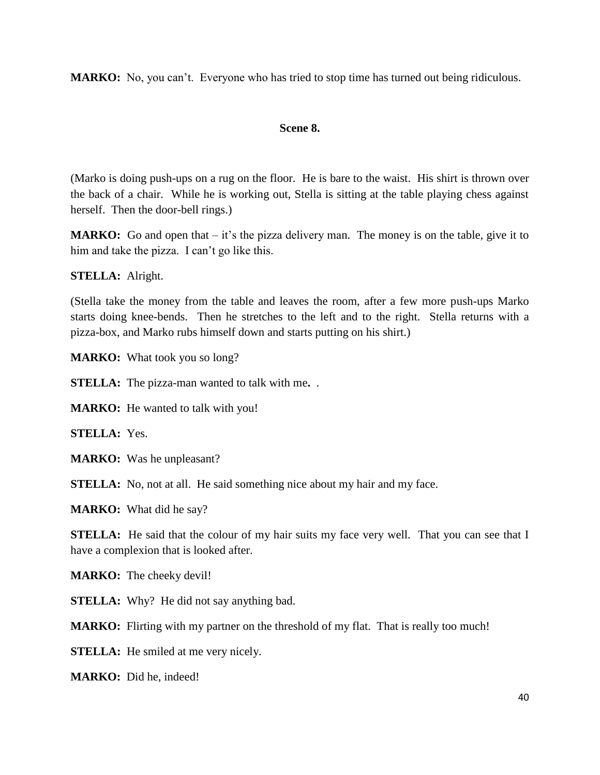**MARKO:** No, you can't. Everyone who has tried to stop time has turned out being ridiculous.

# **Scene 8.**

(Marko is doing push-ups on a rug on the floor. He is bare to the waist. His shirt is thrown over the back of a chair. While he is working out, Stella is sitting at the table playing chess against herself. Then the door-bell rings.)

**MARKO:** Go and open that – it's the pizza delivery man. The money is on the table, give it to him and take the pizza. I can't go like this.

# **STELLA:** Alright.

(Stella take the money from the table and leaves the room, after a few more push-ups Marko starts doing knee-bends. Then he stretches to the left and to the right. Stella returns with a pizza-box, and Marko rubs himself down and starts putting on his shirt.)

**MARKO:** What took you so long?

**STELLA:** The pizza-man wanted to talk with me**.** .

**MARKO:** He wanted to talk with you!

**STELLA:** Yes.

**MARKO:** Was he unpleasant?

**STELLA:** No, not at all. He said something nice about my hair and my face.

**MARKO:** What did he say?

**STELLA:** He said that the colour of my hair suits my face very well. That you can see that I have a complexion that is looked after.

**MARKO:** The cheeky devil!

**STELLA:** Why? He did not say anything bad.

**MARKO:** Flirting with my partner on the threshold of my flat. That is really too much!

**STELLA:** He smiled at me very nicely.

**MARKO:** Did he, indeed!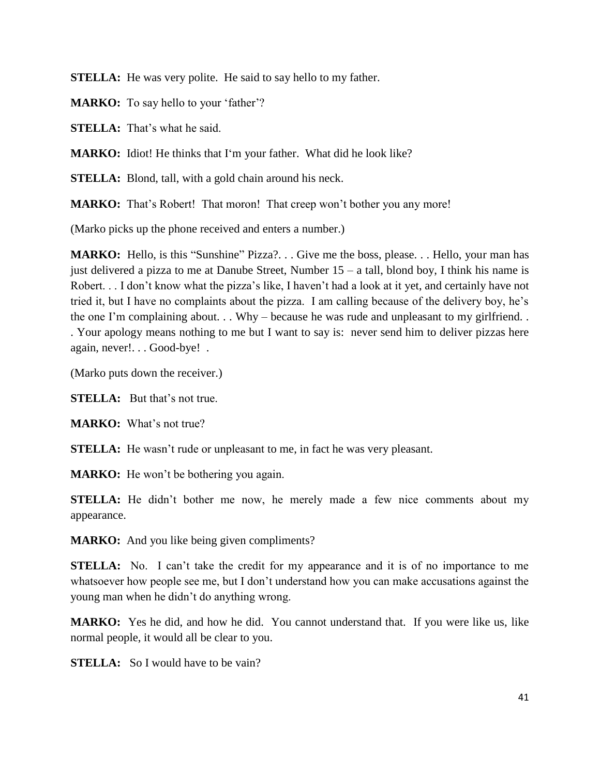**STELLA:** He was very polite. He said to say hello to my father.

**MARKO:** To say hello to your 'father'?

**STELLA:** That's what he said.

**MARKO:** Idiot! He thinks that I'm your father. What did he look like?

**STELLA:** Blond, tall, with a gold chain around his neck.

**MARKO:** That's Robert! That moron! That creep won't bother you any more!

(Marko picks up the phone received and enters a number.)

**MARKO:** Hello, is this "Sunshine" Pizza?... Give me the boss, please... Hello, your man has just delivered a pizza to me at Danube Street, Number  $15 - a$  tall, blond boy, I think his name is Robert. . . I don't know what the pizza's like, I haven't had a look at it yet, and certainly have not tried it, but I have no complaints about the pizza. I am calling because of the delivery boy, he's the one I'm complaining about. . . Why – because he was rude and unpleasant to my girlfriend. . . Your apology means nothing to me but I want to say is: never send him to deliver pizzas here again, never!. . . Good-bye! .

(Marko puts down the receiver.)

**STELLA:** But that's not true.

**MARKO:** What's not true?

**STELLA:** He wasn't rude or unpleasant to me, in fact he was very pleasant.

**MARKO:** He won't be bothering you again.

**STELLA:** He didn't bother me now, he merely made a few nice comments about my appearance.

**MARKO:** And you like being given compliments?

**STELLA:** No. I can't take the credit for my appearance and it is of no importance to me whatsoever how people see me, but I don't understand how you can make accusations against the young man when he didn't do anything wrong.

**MARKO:** Yes he did, and how he did. You cannot understand that. If you were like us, like normal people, it would all be clear to you.

**STELLA:** So I would have to be vain?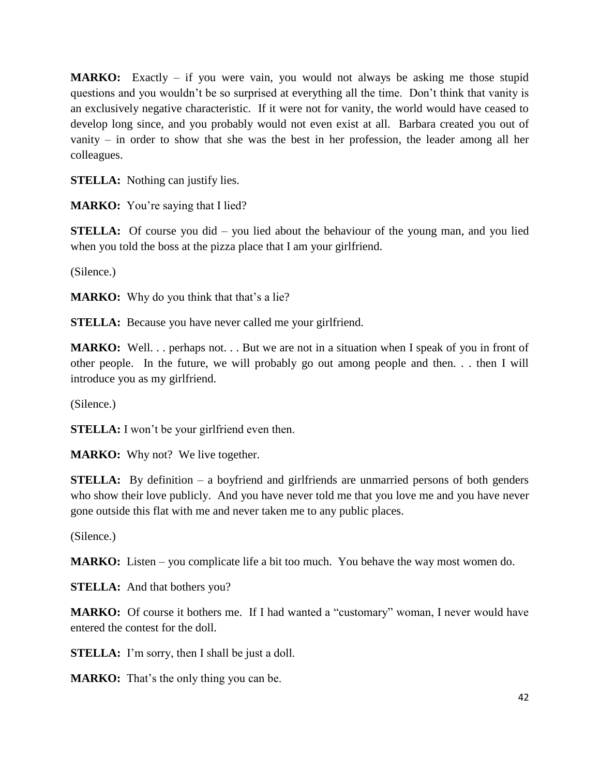**MARKO:** Exactly – if you were vain, you would not always be asking me those stupid questions and you wouldn't be so surprised at everything all the time. Don't think that vanity is an exclusively negative characteristic. If it were not for vanity, the world would have ceased to develop long since, and you probably would not even exist at all. Barbara created you out of vanity – in order to show that she was the best in her profession, the leader among all her colleagues.

**STELLA:** Nothing can justify lies.

**MARKO:** You're saying that I lied?

**STELLA:** Of course you did – you lied about the behaviour of the young man, and you lied when you told the boss at the pizza place that I am your girlfriend.

(Silence.)

**MARKO:** Why do you think that that's a lie?

**STELLA:** Because you have never called me your girlfriend.

**MARKO:** Well. . . perhaps not. . . But we are not in a situation when I speak of you in front of other people. In the future, we will probably go out among people and then. . . then I will introduce you as my girlfriend.

(Silence.)

**STELLA:** I won't be your girlfriend even then.

**MARKO:** Why not? We live together.

**STELLA:** By definition – a boyfriend and girlfriends are unmarried persons of both genders who show their love publicly. And you have never told me that you love me and you have never gone outside this flat with me and never taken me to any public places.

(Silence.)

**MARKO:** Listen – you complicate life a bit too much. You behave the way most women do.

**STELLA:** And that bothers you?

**MARKO:** Of course it bothers me. If I had wanted a "customary" woman, I never would have entered the contest for the doll.

**STELLA:** I'm sorry, then I shall be just a doll.

**MARKO:** That's the only thing you can be.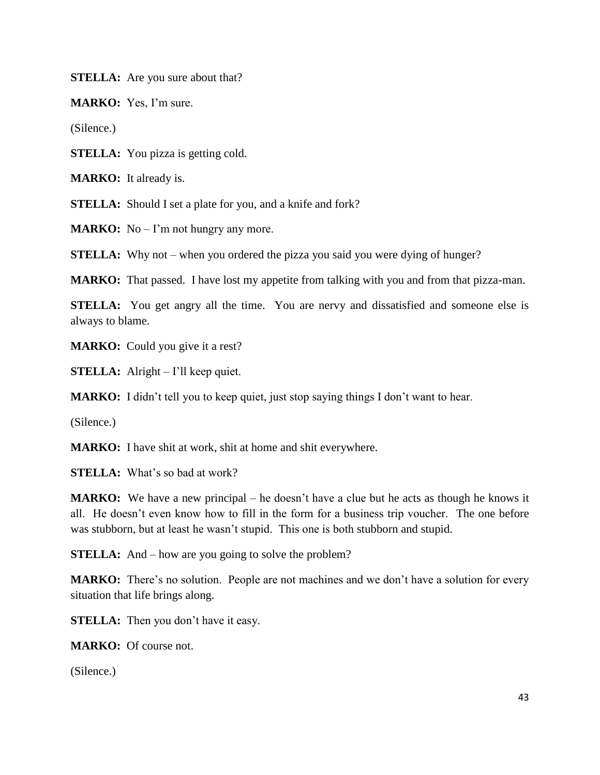**STELLA:** Are you sure about that?

**MARKO:** Yes, I'm sure.

(Silence.)

**STELLA:** You pizza is getting cold.

**MARKO:** It already is.

**STELLA:** Should I set a plate for you, and a knife and fork?

**MARKO:** No – I'm not hungry any more.

**STELLA:** Why not – when you ordered the pizza you said you were dying of hunger?

**MARKO:** That passed. I have lost my appetite from talking with you and from that pizza-man.

**STELLA:** You get angry all the time. You are nervy and dissatisfied and someone else is always to blame.

**MARKO:** Could you give it a rest?

**STELLA:** Alright – I'll keep quiet.

**MARKO:** I didn't tell you to keep quiet, just stop saying things I don't want to hear.

(Silence.)

**MARKO:** I have shit at work, shit at home and shit everywhere.

**STELLA:** What's so bad at work?

**MARKO:** We have a new principal – he doesn't have a clue but he acts as though he knows it all. He doesn't even know how to fill in the form for a business trip voucher. The one before was stubborn, but at least he wasn't stupid. This one is both stubborn and stupid.

**STELLA:** And – how are you going to solve the problem?

**MARKO:** There's no solution. People are not machines and we don't have a solution for every situation that life brings along.

**STELLA:** Then you don't have it easy.

**MARKO:** Of course not.

(Silence.)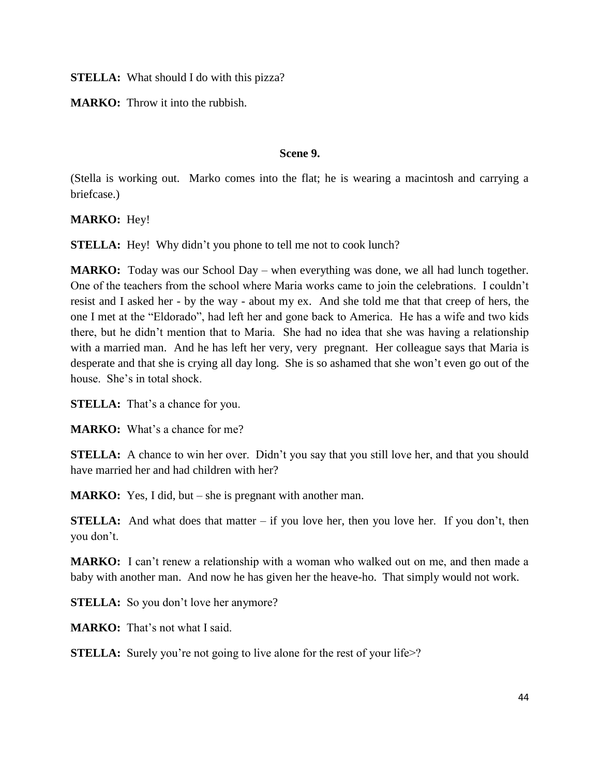**STELLA:** What should I do with this pizza?

**MARKO:** Throw it into the rubbish.

# **Scene 9.**

(Stella is working out. Marko comes into the flat; he is wearing a macintosh and carrying a briefcase.)

**MARKO:** Hey!

**STELLA:** Hey! Why didn't you phone to tell me not to cook lunch?

**MARKO:** Today was our School Day – when everything was done, we all had lunch together. One of the teachers from the school where Maria works came to join the celebrations. I couldn't resist and I asked her - by the way - about my ex. And she told me that that creep of hers, the one I met at the "Eldorado", had left her and gone back to America. He has a wife and two kids there, but he didn't mention that to Maria. She had no idea that she was having a relationship with a married man. And he has left her very, very pregnant. Her colleague says that Maria is desperate and that she is crying all day long. She is so ashamed that she won't even go out of the house. She's in total shock.

**STELLA:** That's a chance for you.

**MARKO:** What's a chance for me?

**STELLA:** A chance to win her over. Didn't you say that you still love her, and that you should have married her and had children with her?

**MARKO:** Yes, I did, but – she is pregnant with another man.

**STELLA:** And what does that matter – if you love her, then you love her. If you don't, then you don't.

**MARKO:** I can't renew a relationship with a woman who walked out on me, and then made a baby with another man. And now he has given her the heave-ho. That simply would not work.

**STELLA:** So you don't love her anymore?

**MARKO:** That's not what I said.

**STELLA:** Surely you're not going to live alone for the rest of your life>?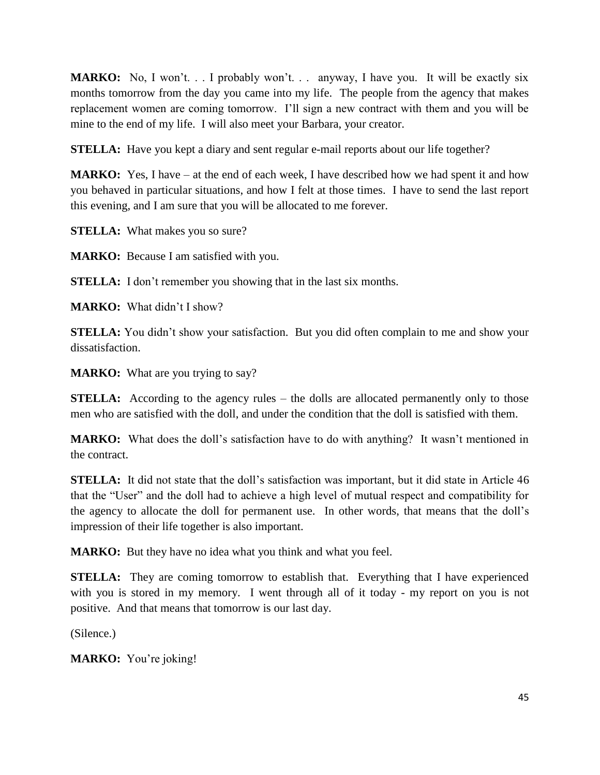**MARKO:** No, I won't. . . I probably won't. . . anyway, I have you. It will be exactly six months tomorrow from the day you came into my life. The people from the agency that makes replacement women are coming tomorrow. I'll sign a new contract with them and you will be mine to the end of my life. I will also meet your Barbara, your creator.

**STELLA:** Have you kept a diary and sent regular e-mail reports about our life together?

**MARKO:** Yes, I have – at the end of each week, I have described how we had spent it and how you behaved in particular situations, and how I felt at those times. I have to send the last report this evening, and I am sure that you will be allocated to me forever.

**STELLA:** What makes you so sure?

**MARKO:** Because I am satisfied with you.

**STELLA:** I don't remember you showing that in the last six months.

**MARKO:** What didn't I show?

**STELLA:** You didn't show your satisfaction. But you did often complain to me and show your dissatisfaction.

**MARKO:** What are you trying to say?

**STELLA:** According to the agency rules – the dolls are allocated permanently only to those men who are satisfied with the doll, and under the condition that the doll is satisfied with them.

**MARKO:** What does the doll's satisfaction have to do with anything? It wasn't mentioned in the contract.

**STELLA:** It did not state that the doll's satisfaction was important, but it did state in Article 46 that the "User" and the doll had to achieve a high level of mutual respect and compatibility for the agency to allocate the doll for permanent use. In other words, that means that the doll's impression of their life together is also important.

**MARKO:** But they have no idea what you think and what you feel.

**STELLA:** They are coming tomorrow to establish that. Everything that I have experienced with you is stored in my memory. I went through all of it today - my report on you is not positive. And that means that tomorrow is our last day.

(Silence.)

**MARKO:** You're joking!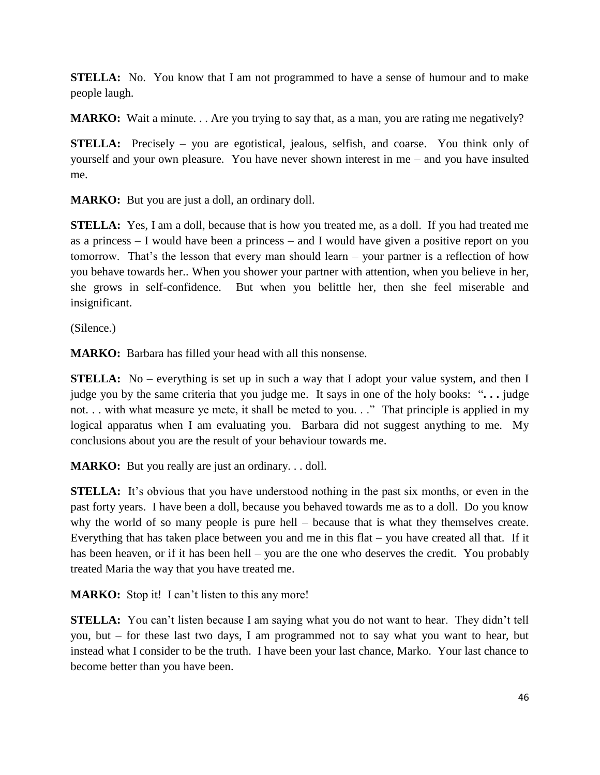**STELLA:** No. You know that I am not programmed to have a sense of humour and to make people laugh.

**MARKO:** Wait a minute. . . Are you trying to say that, as a man, you are rating me negatively?

**STELLA:** Precisely – you are egotistical, jealous, selfish, and coarse. You think only of yourself and your own pleasure. You have never shown interest in me – and you have insulted me.

**MARKO:** But you are just a doll, an ordinary doll.

**STELLA:** Yes, I am a doll, because that is how you treated me, as a doll. If you had treated me as a princess – I would have been a princess – and I would have given a positive report on you tomorrow. That's the lesson that every man should learn – your partner is a reflection of how you behave towards her.. When you shower your partner with attention, when you believe in her, she grows in self-confidence. But when you belittle her, then she feel miserable and insignificant.

(Silence.)

**MARKO:** Barbara has filled your head with all this nonsense.

**STELLA:** No – everything is set up in such a way that I adopt your value system, and then I judge you by the same criteria that you judge me.It says in one of the holy books: "**. . .** judge not... with what measure ye mete, it shall be meted to you..." That principle is applied in my logical apparatus when I am evaluating you. Barbara did not suggest anything to me. My conclusions about you are the result of your behaviour towards me.

**MARKO:** But you really are just an ordinary. . . doll.

**STELLA:** It's obvious that you have understood nothing in the past six months, or even in the past forty years. I have been a doll, because you behaved towards me as to a doll. Do you know why the world of so many people is pure hell – because that is what they themselves create. Everything that has taken place between you and me in this flat – you have created all that. If it has been heaven, or if it has been hell – you are the one who deserves the credit. You probably treated Maria the way that you have treated me.

**MARKO:** Stop it! I can't listen to this any more!

**STELLA:** You can't listen because I am saying what you do not want to hear. They didn't tell you, but – for these last two days, I am programmed not to say what you want to hear, but instead what I consider to be the truth. I have been your last chance, Marko. Your last chance to become better than you have been.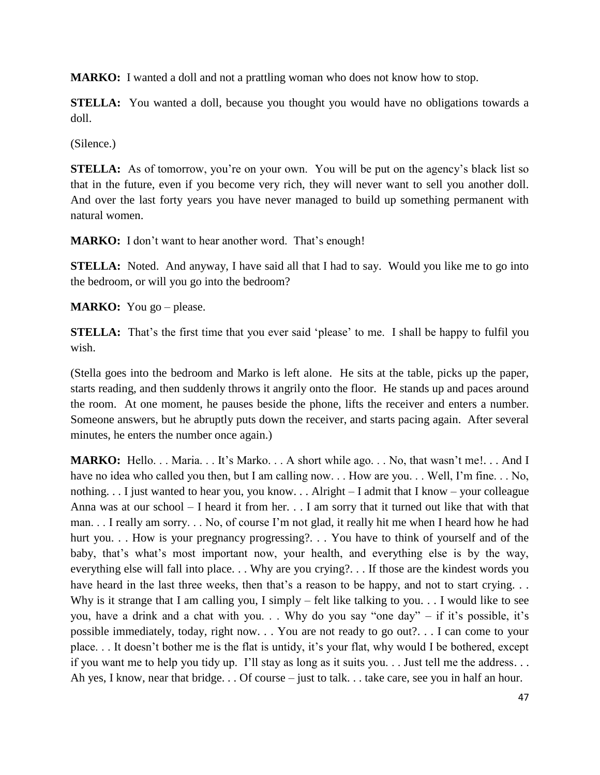**MARKO:** I wanted a doll and not a prattling woman who does not know how to stop.

**STELLA:** You wanted a doll, because you thought you would have no obligations towards a doll.

(Silence.)

**STELLA:** As of tomorrow, you're on your own. You will be put on the agency's black list so that in the future, even if you become very rich, they will never want to sell you another doll. And over the last forty years you have never managed to build up something permanent with natural women.

**MARKO:** I don't want to hear another word. That's enough!

**STELLA:** Noted. And anyway, I have said all that I had to say. Would you like me to go into the bedroom, or will you go into the bedroom?

**MARKO:** You go – please.

**STELLA:** That's the first time that you ever said 'please' to me. I shall be happy to fulfil you wish.

(Stella goes into the bedroom and Marko is left alone. He sits at the table, picks up the paper, starts reading, and then suddenly throws it angrily onto the floor. He stands up and paces around the room. At one moment, he pauses beside the phone, lifts the receiver and enters a number. Someone answers, but he abruptly puts down the receiver, and starts pacing again. After several minutes, he enters the number once again.)

**MARKO:** Hello. . . Maria. . . It's Marko. . . A short while ago. . . No, that wasn't me!. . . And I have no idea who called you then, but I am calling now. . . How are you. . . Well, I'm fine. . . No, nothing. . . I just wanted to hear you, you know. . . Alright – I admit that I know – your colleague Anna was at our school – I heard it from her. . . I am sorry that it turned out like that with that man. . . I really am sorry. . . No, of course I'm not glad, it really hit me when I heard how he had hurt you. . . How is your pregnancy progressing?. . . You have to think of yourself and of the baby, that's what's most important now, your health, and everything else is by the way, everything else will fall into place. . . Why are you crying?. . . If those are the kindest words you have heard in the last three weeks, then that's a reason to be happy, and not to start crying. . . Why is it strange that I am calling you, I simply – felt like talking to you. . . I would like to see you, have a drink and a chat with you. . . Why do you say "one day" – if it's possible, it's possible immediately, today, right now. . . You are not ready to go out?. . . I can come to your place. . . It doesn't bother me is the flat is untidy, it's your flat, why would I be bothered, except if you want me to help you tidy up. I'll stay as long as it suits you. . . Just tell me the address. . . Ah yes, I know, near that bridge. . . Of course – just to talk. . . take care, see you in half an hour.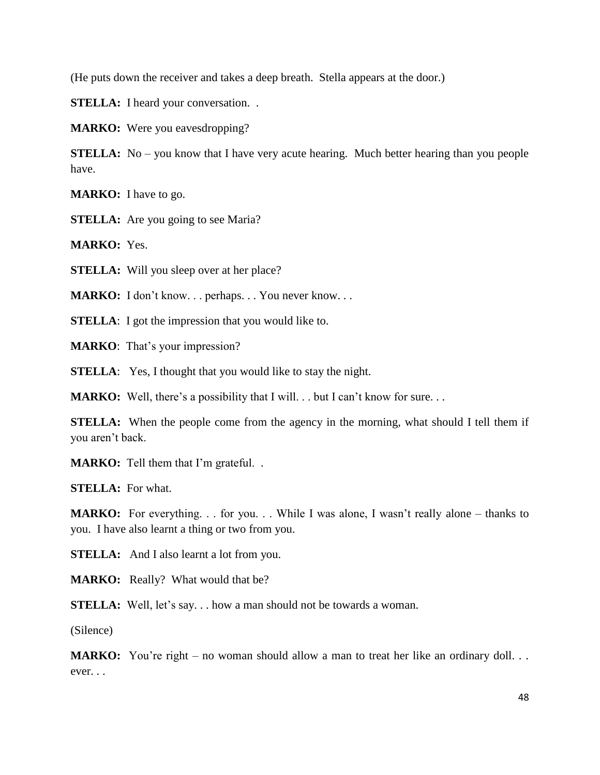(He puts down the receiver and takes a deep breath. Stella appears at the door.)

**STELLA:** I heard your conversation...

**MARKO:** Were you eavesdropping?

**STELLA:** No – you know that I have very acute hearing. Much better hearing than you people have.

**MARKO:** I have to go.

**STELLA:** Are you going to see Maria?

**MARKO:** Yes.

**STELLA:** Will you sleep over at her place?

**MARKO:** I don't know... perhaps... You never know...

**STELLA**: I got the impression that you would like to.

**MARKO**: That's your impression?

**STELLA**: Yes, I thought that you would like to stay the night.

**MARKO:** Well, there's a possibility that I will. . . but I can't know for sure. . .

**STELLA:** When the people come from the agency in the morning, what should I tell them if you aren't back.

**MARKO:** Tell them that I'm grateful. .

**STELLA:** For what.

**MARKO:** For everything. . . for you. . . While I was alone, I wasn't really alone – thanks to you. I have also learnt a thing or two from you.

**STELLA:** And I also learnt a lot from you.

**MARKO:** Really? What would that be?

**STELLA:** Well, let's say... how a man should not be towards a woman.

(Silence)

**MARKO:** You're right – no woman should allow a man to treat her like an ordinary doll... ever. . .